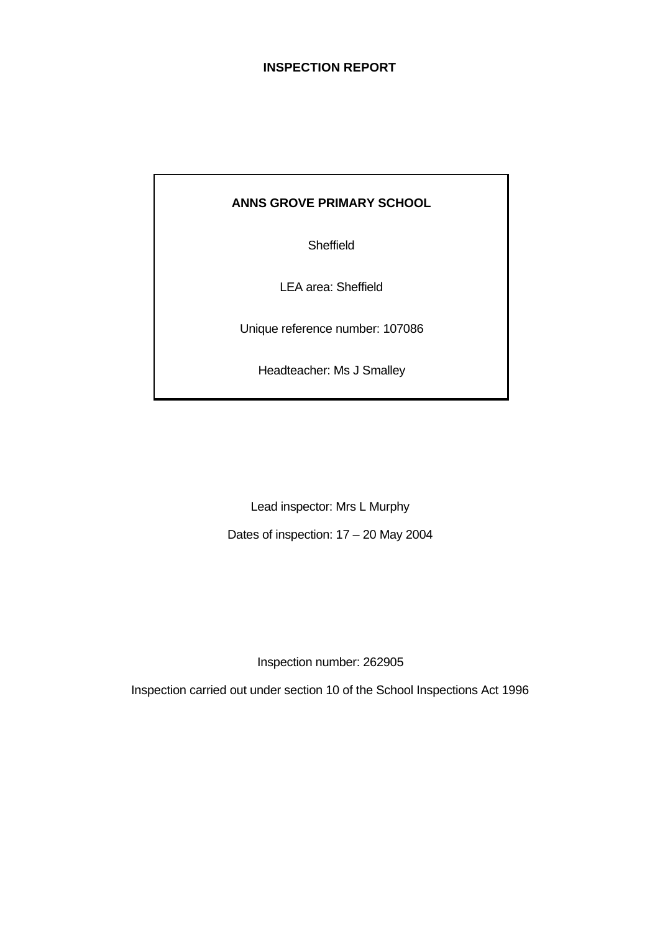# **INSPECTION REPORT**

#### **ANNS GROVE PRIMARY SCHOOL**

Sheffield

LEA area: Sheffield

Unique reference number: 107086

Headteacher: Ms J Smalley

Lead inspector: Mrs L Murphy

Dates of inspection: 17 – 20 May 2004

Inspection number: 262905

Inspection carried out under section 10 of the School Inspections Act 1996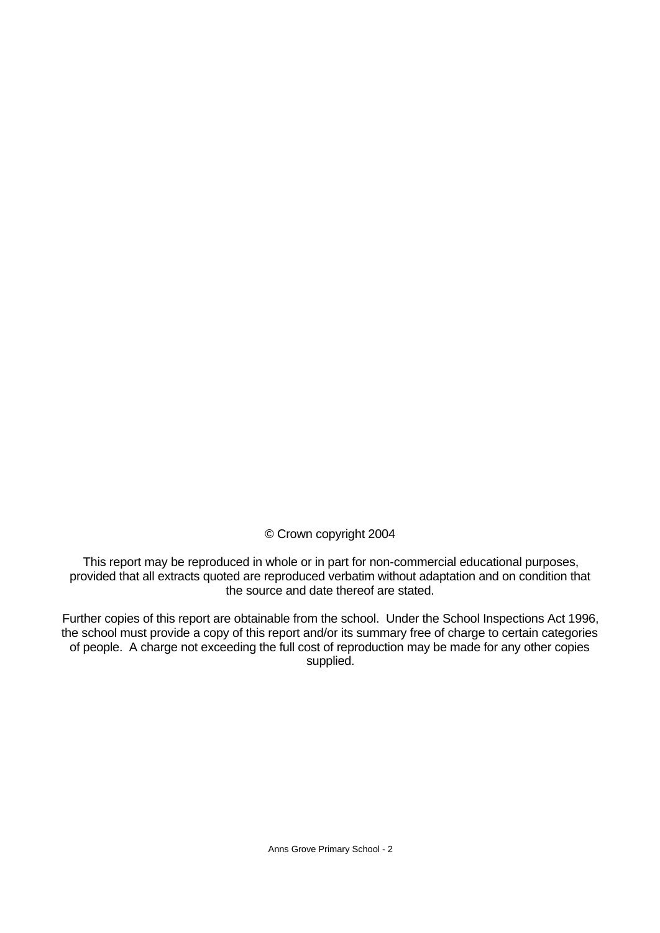© Crown copyright 2004

This report may be reproduced in whole or in part for non-commercial educational purposes, provided that all extracts quoted are reproduced verbatim without adaptation and on condition that the source and date thereof are stated.

Further copies of this report are obtainable from the school. Under the School Inspections Act 1996, the school must provide a copy of this report and/or its summary free of charge to certain categories of people. A charge not exceeding the full cost of reproduction may be made for any other copies supplied.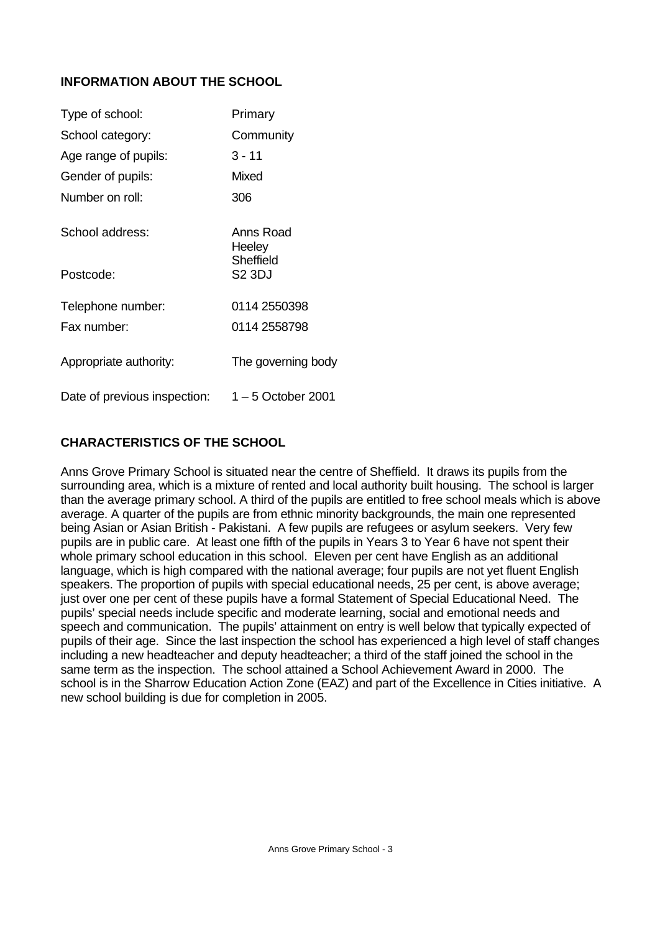# **INFORMATION ABOUT THE SCHOOL**

| Type of school:              | Primary             |
|------------------------------|---------------------|
| School category:             | Community           |
| Age range of pupils:         | $3 - 11$            |
| Gender of pupils:            | Mixed               |
| Number on roll:              | 306                 |
| School address:              | Anns Road<br>Heeley |
| Postcode:                    | Sheffield<br>S2 3DJ |
| Telephone number:            | 0114 2550398        |
| Fax number:                  | 0114 2558798        |
| Appropriate authority:       | The governing body  |
| Date of previous inspection: | 1 – 5 October 2001  |

# **CHARACTERISTICS OF THE SCHOOL**

Anns Grove Primary School is situated near the centre of Sheffield. It draws its pupils from the surrounding area, which is a mixture of rented and local authority built housing. The school is larger than the average primary school. A third of the pupils are entitled to free school meals which is above average. A quarter of the pupils are from ethnic minority backgrounds, the main one represented being Asian or Asian British - Pakistani. A few pupils are refugees or asylum seekers. Very few pupils are in public care. At least one fifth of the pupils in Years 3 to Year 6 have not spent their whole primary school education in this school. Eleven per cent have English as an additional language, which is high compared with the national average; four pupils are not yet fluent English speakers. The proportion of pupils with special educational needs, 25 per cent, is above average; just over one per cent of these pupils have a formal Statement of Special Educational Need. The pupils' special needs include specific and moderate learning, social and emotional needs and speech and communication. The pupils' attainment on entry is well below that typically expected of pupils of their age. Since the last inspection the school has experienced a high level of staff changes including a new headteacher and deputy headteacher; a third of the staff joined the school in the same term as the inspection. The school attained a School Achievement Award in 2000. The school is in the Sharrow Education Action Zone (EAZ) and part of the Excellence in Cities initiative. A new school building is due for completion in 2005.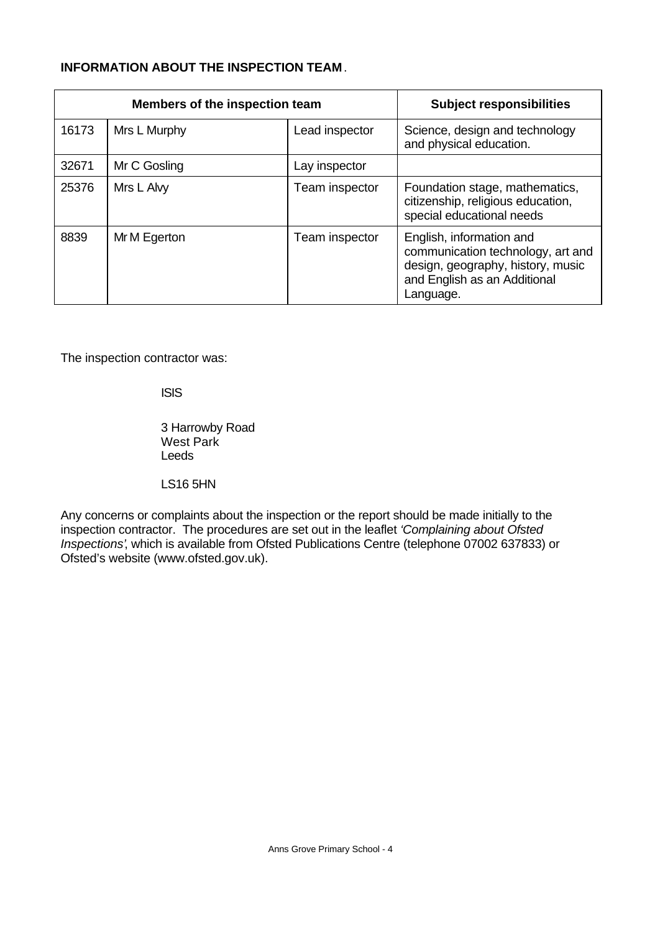# **INFORMATION ABOUT THE INSPECTION TEAM**.

| Members of the inspection team |              |                | <b>Subject responsibilities</b>                                                                                                                 |
|--------------------------------|--------------|----------------|-------------------------------------------------------------------------------------------------------------------------------------------------|
| 16173                          | Mrs L Murphy | Lead inspector | Science, design and technology<br>and physical education.                                                                                       |
| 32671                          | Mr C Gosling | Lay inspector  |                                                                                                                                                 |
| 25376                          | Mrs L Alvy   | Team inspector | Foundation stage, mathematics,<br>citizenship, religious education,<br>special educational needs                                                |
| 8839                           | Mr M Egerton | Team inspector | English, information and<br>communication technology, art and<br>design, geography, history, music<br>and English as an Additional<br>Language. |

The inspection contractor was:

ISIS

3 Harrowby Road West Park Leeds

LS16 5HN

Any concerns or complaints about the inspection or the report should be made initially to the inspection contractor. The procedures are set out in the leaflet *'Complaining about Ofsted Inspections'*, which is available from Ofsted Publications Centre (telephone 07002 637833) or Ofsted's website (www.ofsted.gov.uk).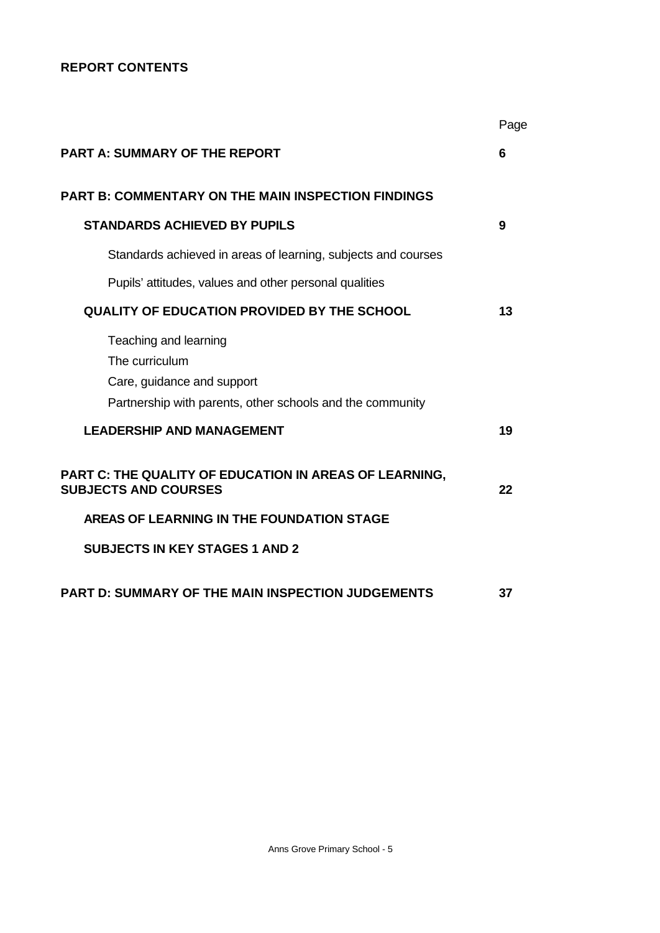# **REPORT CONTENTS**

|                                                                                                                                    | Page |
|------------------------------------------------------------------------------------------------------------------------------------|------|
| <b>PART A: SUMMARY OF THE REPORT</b>                                                                                               | 6    |
| <b>PART B: COMMENTARY ON THE MAIN INSPECTION FINDINGS</b>                                                                          |      |
| <b>STANDARDS ACHIEVED BY PUPILS</b>                                                                                                | 9    |
| Standards achieved in areas of learning, subjects and courses                                                                      |      |
| Pupils' attitudes, values and other personal qualities                                                                             |      |
| QUALITY OF EDUCATION PROVIDED BY THE SCHOOL                                                                                        | 13   |
| Teaching and learning<br>The curriculum<br>Care, guidance and support<br>Partnership with parents, other schools and the community |      |
| <b>LEADERSHIP AND MANAGEMENT</b>                                                                                                   | 19   |
| PART C: THE QUALITY OF EDUCATION IN AREAS OF LEARNING,<br><b>SUBJECTS AND COURSES</b>                                              | 22   |
| AREAS OF LEARNING IN THE FOUNDATION STAGE                                                                                          |      |
| <b>SUBJECTS IN KEY STAGES 1 AND 2</b>                                                                                              |      |
| <b>PART D: SUMMARY OF THE MAIN INSPECTION JUDGEMENTS</b>                                                                           | 37   |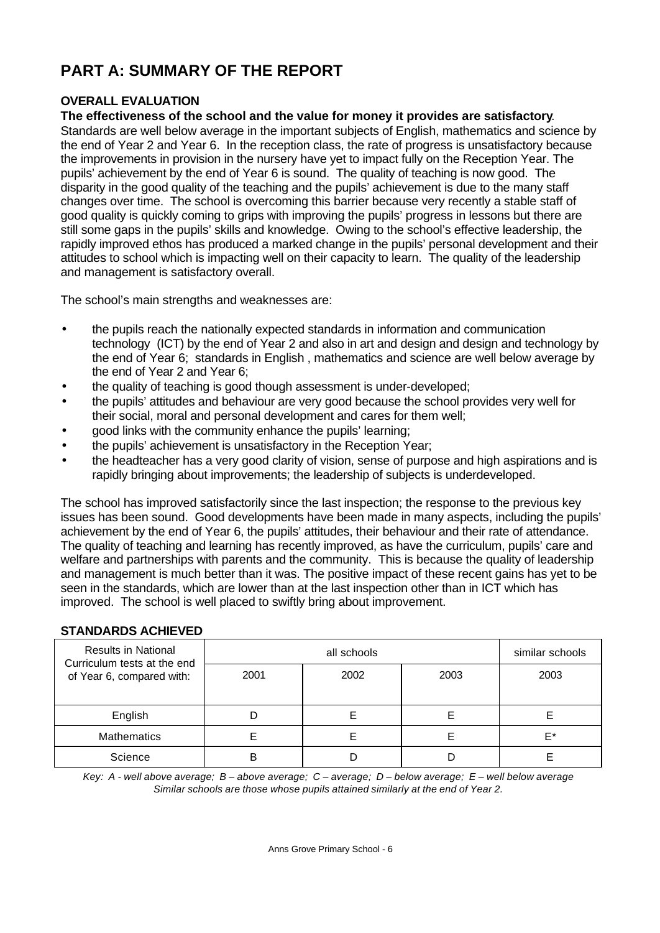# **PART A: SUMMARY OF THE REPORT**

# **OVERALL EVALUATION**

#### **The effectiveness of the school and the value for money it provides are satisfactory**.

Standards are well below average in the important subjects of English, mathematics and science by the end of Year 2 and Year 6. In the reception class, the rate of progress is unsatisfactory because the improvements in provision in the nursery have yet to impact fully on the Reception Year. The pupils' achievement by the end of Year 6 is sound. The quality of teaching is now good. The disparity in the good quality of the teaching and the pupils' achievement is due to the many staff changes over time. The school is overcoming this barrier because very recently a stable staff of good quality is quickly coming to grips with improving the pupils' progress in lessons but there are still some gaps in the pupils' skills and knowledge. Owing to the school's effective leadership, the rapidly improved ethos has produced a marked change in the pupils' personal development and their attitudes to school which is impacting well on their capacity to learn. The quality of the leadership and management is satisfactory overall.

The school's main strengths and weaknesses are:

- the pupils reach the nationally expected standards in information and communication technology (ICT) by the end of Year 2 and also in art and design and design and technology by the end of Year 6; standards in English , mathematics and science are well below average by the end of Year 2 and Year 6;
- the quality of teaching is good though assessment is under-developed;
- the pupils' attitudes and behaviour are very good because the school provides very well for their social, moral and personal development and cares for them well;
- good links with the community enhance the pupils' learning;
- the pupils' achievement is unsatisfactory in the Reception Year;
- the headteacher has a very good clarity of vision, sense of purpose and high aspirations and is rapidly bringing about improvements; the leadership of subjects is underdeveloped.

The school has improved satisfactorily since the last inspection; the response to the previous key issues has been sound. Good developments have been made in many aspects, including the pupils' achievement by the end of Year 6, the pupils' attitudes, their behaviour and their rate of attendance. The quality of teaching and learning has recently improved, as have the curriculum, pupils' care and welfare and partnerships with parents and the community. This is because the quality of leadership and management is much better than it was. The positive impact of these recent gains has yet to be seen in the standards, which are lower than at the last inspection other than in ICT which has improved. The school is well placed to swiftly bring about improvement.

#### **STANDARDS ACHIEVED**

| <b>Results in National</b><br>Curriculum tests at the end |      | similar schools |      |      |
|-----------------------------------------------------------|------|-----------------|------|------|
| of Year 6, compared with:                                 | 2001 | 2002            | 2003 | 2003 |
| English                                                   |      |                 |      |      |
| <b>Mathematics</b>                                        |      |                 |      | F*   |
| Science                                                   | B    |                 |      |      |

*Key: A - well above average; B – above average; C – average; D – below average; E – well below average Similar schools are those whose pupils attained similarly at the end of Year 2.*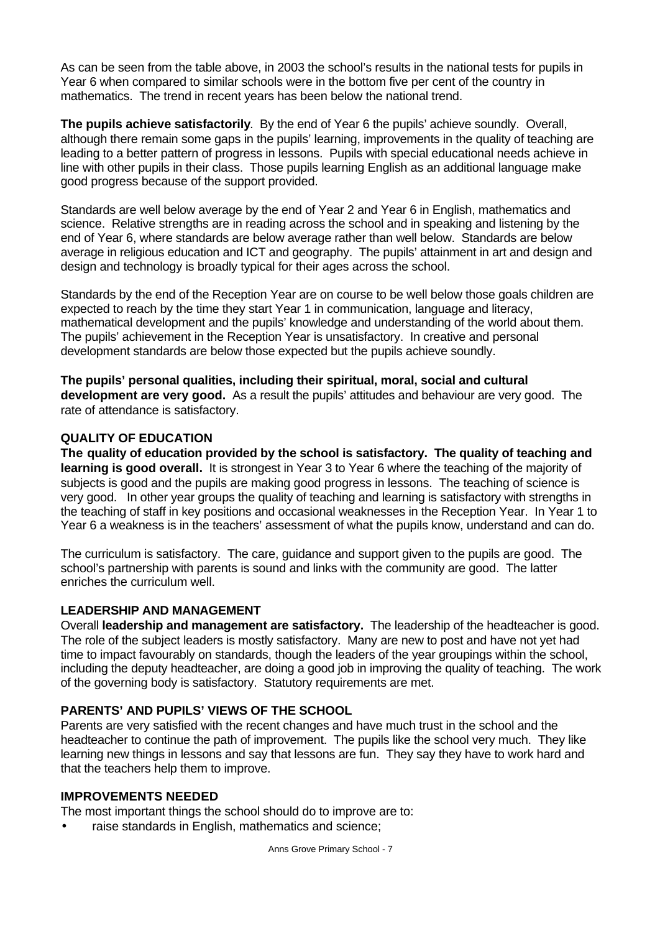As can be seen from the table above, in 2003 the school's results in the national tests for pupils in Year 6 when compared to similar schools were in the bottom five per cent of the country in mathematics. The trend in recent years has been below the national trend.

**The pupils achieve satisfactorily**. By the end of Year 6 the pupils' achieve soundly. Overall, although there remain some gaps in the pupils' learning, improvements in the quality of teaching are leading to a better pattern of progress in lessons. Pupils with special educational needs achieve in line with other pupils in their class. Those pupils learning English as an additional language make good progress because of the support provided.

Standards are well below average by the end of Year 2 and Year 6 in English, mathematics and science. Relative strengths are in reading across the school and in speaking and listening by the end of Year 6, where standards are below average rather than well below. Standards are below average in religious education and ICT and geography. The pupils' attainment in art and design and design and technology is broadly typical for their ages across the school.

Standards by the end of the Reception Year are on course to be well below those goals children are expected to reach by the time they start Year 1 in communication, language and literacy, mathematical development and the pupils' knowledge and understanding of the world about them. The pupils' achievement in the Reception Year is unsatisfactory. In creative and personal development standards are below those expected but the pupils achieve soundly.

**The pupils' personal qualities, including their spiritual, moral, social and cultural development are very good.** As a result the pupils' attitudes and behaviour are very good. The rate of attendance is satisfactory.

# **QUALITY OF EDUCATION**

**The quality of education provided by the school is satisfactory. The quality of teaching and learning is good overall.** It is strongest in Year 3 to Year 6 where the teaching of the majority of subjects is good and the pupils are making good progress in lessons. The teaching of science is very good. In other year groups the quality of teaching and learning is satisfactory with strengths in the teaching of staff in key positions and occasional weaknesses in the Reception Year. In Year 1 to Year 6 a weakness is in the teachers' assessment of what the pupils know, understand and can do.

The curriculum is satisfactory. The care, guidance and support given to the pupils are good. The school's partnership with parents is sound and links with the community are good. The latter enriches the curriculum well.

# **LEADERSHIP AND MANAGEMENT**

Overall **leadership and management are satisfactory.** The leadership of the headteacher is good. The role of the subject leaders is mostly satisfactory. Many are new to post and have not yet had time to impact favourably on standards, though the leaders of the year groupings within the school, including the deputy headteacher, are doing a good job in improving the quality of teaching. The work of the governing body is satisfactory. Statutory requirements are met.

# **PARENTS' AND PUPILS' VIEWS OF THE SCHOOL**

Parents are very satisfied with the recent changes and have much trust in the school and the headteacher to continue the path of improvement. The pupils like the school very much. They like learning new things in lessons and say that lessons are fun. They say they have to work hard and that the teachers help them to improve.

#### **IMPROVEMENTS NEEDED**

The most important things the school should do to improve are to:

raise standards in English, mathematics and science;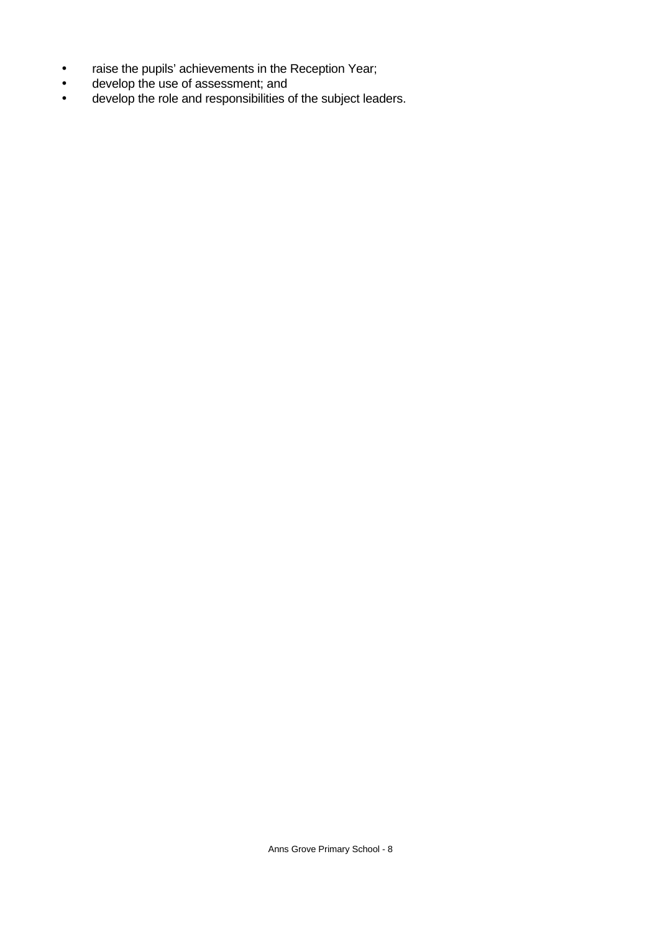- raise the pupils' achievements in the Reception Year;
- develop the use of assessment; and
- develop the role and responsibilities of the subject leaders.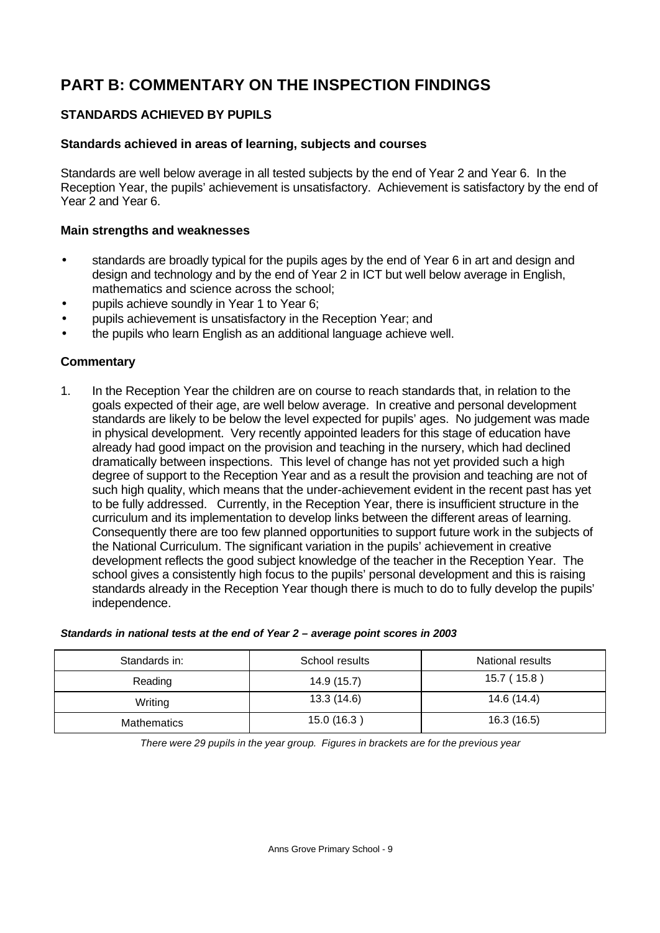# **PART B: COMMENTARY ON THE INSPECTION FINDINGS**

# **STANDARDS ACHIEVED BY PUPILS**

#### **Standards achieved in areas of learning, subjects and courses**

Standards are well below average in all tested subjects by the end of Year 2 and Year 6. In the Reception Year, the pupils' achievement is unsatisfactory. Achievement is satisfactory by the end of Year 2 and Year 6.

#### **Main strengths and weaknesses**

- standards are broadly typical for the pupils ages by the end of Year 6 in art and design and design and technology and by the end of Year 2 in ICT but well below average in English, mathematics and science across the school;
- pupils achieve soundly in Year 1 to Year 6;
- pupils achievement is unsatisfactory in the Reception Year; and
- the pupils who learn English as an additional language achieve well.

# **Commentary**

1. In the Reception Year the children are on course to reach standards that, in relation to the goals expected of their age, are well below average. In creative and personal development standards are likely to be below the level expected for pupils' ages. No judgement was made in physical development. Very recently appointed leaders for this stage of education have already had good impact on the provision and teaching in the nursery, which had declined dramatically between inspections. This level of change has not yet provided such a high degree of support to the Reception Year and as a result the provision and teaching are not of such high quality, which means that the under-achievement evident in the recent past has yet to be fully addressed. Currently, in the Reception Year, there is insufficient structure in the curriculum and its implementation to develop links between the different areas of learning. Consequently there are too few planned opportunities to support future work in the subjects of the National Curriculum. The significant variation in the pupils' achievement in creative development reflects the good subject knowledge of the teacher in the Reception Year. The school gives a consistently high focus to the pupils' personal development and this is raising standards already in the Reception Year though there is much to do to fully develop the pupils' independence.

| Standards in: | School results | National results |
|---------------|----------------|------------------|
| Reading       | 14.9 (15.7)    | 15.7 (15.8)      |
| Writing       | 13.3(14.6)     | 14.6 (14.4)      |
| Mathematics   | 15.0 (16.3)    | 16.3 (16.5)      |

#### *Standards in national tests at the end of Year 2 – average point scores in 2003*

*There were 29 pupils in the year group. Figures in brackets are for the previous year*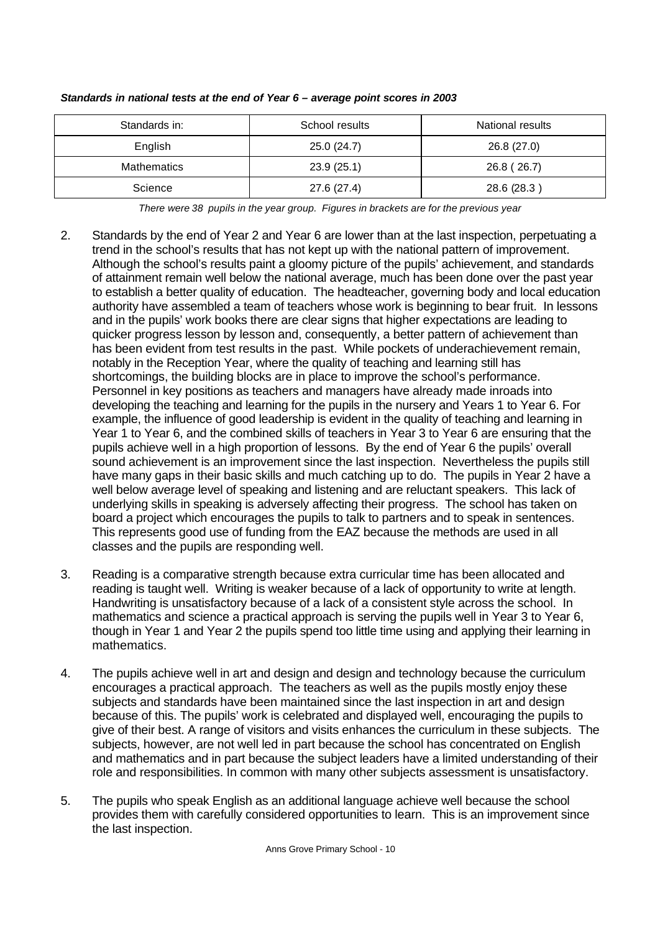| Standards in: | School results | National results |
|---------------|----------------|------------------|
| English       | 25.0(24.7)     | 26.8 (27.0)      |
| Mathematics   | 23.9(25.1)     | 26.8 (26.7)      |
| Science       | 27.6 (27.4)    | 28.6 (28.3)      |

#### *Standards in national tests at the end of Year 6 – average point scores in 2003*

*There were 38 pupils in the year group. Figures in brackets are for the previous year*

- 2. Standards by the end of Year 2 and Year 6 are lower than at the last inspection, perpetuating a trend in the school's results that has not kept up with the national pattern of improvement. Although the school's results paint a gloomy picture of the pupils' achievement, and standards of attainment remain well below the national average, much has been done over the past year to establish a better quality of education. The headteacher, governing body and local education authority have assembled a team of teachers whose work is beginning to bear fruit. In lessons and in the pupils' work books there are clear signs that higher expectations are leading to quicker progress lesson by lesson and, consequently, a better pattern of achievement than has been evident from test results in the past. While pockets of underachievement remain, notably in the Reception Year, where the quality of teaching and learning still has shortcomings, the building blocks are in place to improve the school's performance. Personnel in key positions as teachers and managers have already made inroads into developing the teaching and learning for the pupils in the nursery and Years 1 to Year 6. For example, the influence of good leadership is evident in the quality of teaching and learning in Year 1 to Year 6, and the combined skills of teachers in Year 3 to Year 6 are ensuring that the pupils achieve well in a high proportion of lessons. By the end of Year 6 the pupils' overall sound achievement is an improvement since the last inspection. Nevertheless the pupils still have many gaps in their basic skills and much catching up to do. The pupils in Year 2 have a well below average level of speaking and listening and are reluctant speakers. This lack of underlying skills in speaking is adversely affecting their progress. The school has taken on board a project which encourages the pupils to talk to partners and to speak in sentences. This represents good use of funding from the EAZ because the methods are used in all classes and the pupils are responding well.
- 3. Reading is a comparative strength because extra curricular time has been allocated and reading is taught well. Writing is weaker because of a lack of opportunity to write at length. Handwriting is unsatisfactory because of a lack of a consistent style across the school. In mathematics and science a practical approach is serving the pupils well in Year 3 to Year 6, though in Year 1 and Year 2 the pupils spend too little time using and applying their learning in mathematics.
- 4. The pupils achieve well in art and design and design and technology because the curriculum encourages a practical approach. The teachers as well as the pupils mostly enjoy these subjects and standards have been maintained since the last inspection in art and design because of this. The pupils' work is celebrated and displayed well, encouraging the pupils to give of their best. A range of visitors and visits enhances the curriculum in these subjects. The subjects, however, are not well led in part because the school has concentrated on English and mathematics and in part because the subject leaders have a limited understanding of their role and responsibilities. In common with many other subjects assessment is unsatisfactory.
- 5. The pupils who speak English as an additional language achieve well because the school provides them with carefully considered opportunities to learn. This is an improvement since the last inspection.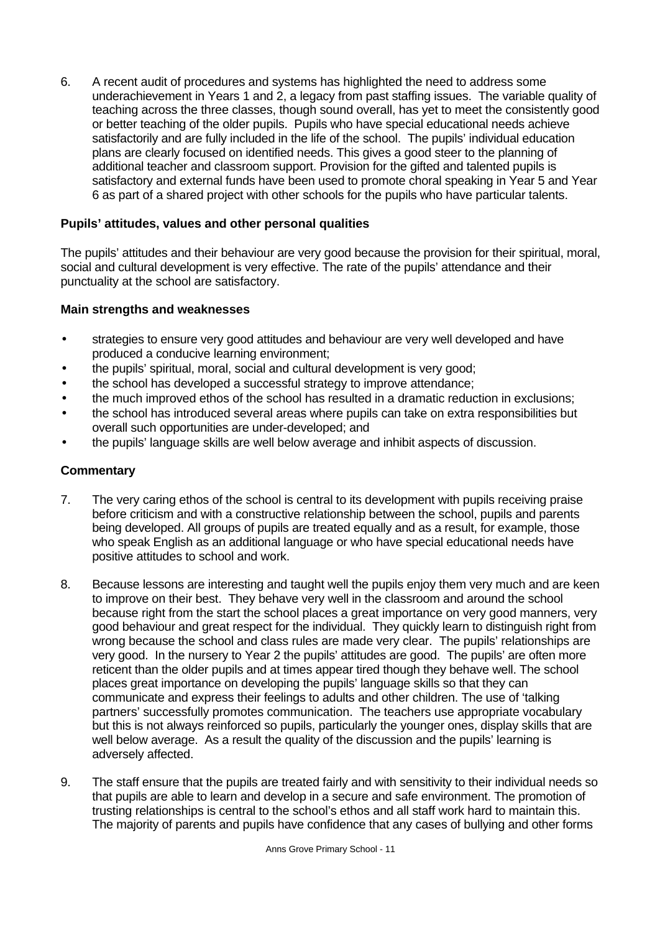6. A recent audit of procedures and systems has highlighted the need to address some underachievement in Years 1 and 2, a legacy from past staffing issues. The variable quality of teaching across the three classes, though sound overall, has yet to meet the consistently good or better teaching of the older pupils. Pupils who have special educational needs achieve satisfactorily and are fully included in the life of the school. The pupils' individual education plans are clearly focused on identified needs. This gives a good steer to the planning of additional teacher and classroom support. Provision for the gifted and talented pupils is satisfactory and external funds have been used to promote choral speaking in Year 5 and Year 6 as part of a shared project with other schools for the pupils who have particular talents.

# **Pupils' attitudes, values and other personal qualities**

The pupils' attitudes and their behaviour are very good because the provision for their spiritual, moral, social and cultural development is very effective. The rate of the pupils' attendance and their punctuality at the school are satisfactory.

#### **Main strengths and weaknesses**

- strategies to ensure very good attitudes and behaviour are very well developed and have produced a conducive learning environment;
- the pupils' spiritual, moral, social and cultural development is very good;
- the school has developed a successful strategy to improve attendance;
- the much improved ethos of the school has resulted in a dramatic reduction in exclusions;
- the school has introduced several areas where pupils can take on extra responsibilities but overall such opportunities are under-developed; and
- the pupils' language skills are well below average and inhibit aspects of discussion.

- 7. The very caring ethos of the school is central to its development with pupils receiving praise before criticism and with a constructive relationship between the school, pupils and parents being developed. All groups of pupils are treated equally and as a result, for example, those who speak English as an additional language or who have special educational needs have positive attitudes to school and work.
- 8. Because lessons are interesting and taught well the pupils enjoy them very much and are keen to improve on their best. They behave very well in the classroom and around the school because right from the start the school places a great importance on very good manners, very good behaviour and great respect for the individual. They quickly learn to distinguish right from wrong because the school and class rules are made very clear. The pupils' relationships are very good. In the nursery to Year 2 the pupils' attitudes are good. The pupils' are often more reticent than the older pupils and at times appear tired though they behave well. The school places great importance on developing the pupils' language skills so that they can communicate and express their feelings to adults and other children. The use of 'talking partners' successfully promotes communication. The teachers use appropriate vocabulary but this is not always reinforced so pupils, particularly the younger ones, display skills that are well below average. As a result the quality of the discussion and the pupils' learning is adversely affected.
- 9. The staff ensure that the pupils are treated fairly and with sensitivity to their individual needs so that pupils are able to learn and develop in a secure and safe environment. The promotion of trusting relationships is central to the school's ethos and all staff work hard to maintain this. The majority of parents and pupils have confidence that any cases of bullying and other forms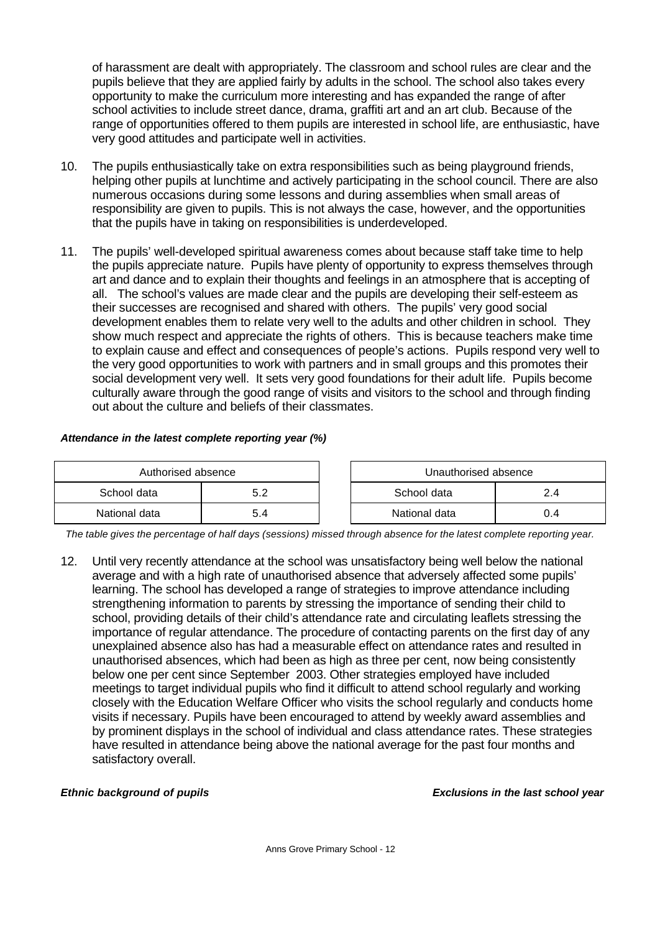of harassment are dealt with appropriately. The classroom and school rules are clear and the pupils believe that they are applied fairly by adults in the school. The school also takes every opportunity to make the curriculum more interesting and has expanded the range of after school activities to include street dance, drama, graffiti art and an art club. Because of the range of opportunities offered to them pupils are interested in school life, are enthusiastic, have very good attitudes and participate well in activities.

- 10. The pupils enthusiastically take on extra responsibilities such as being playground friends, helping other pupils at lunchtime and actively participating in the school council. There are also numerous occasions during some lessons and during assemblies when small areas of responsibility are given to pupils. This is not always the case, however, and the opportunities that the pupils have in taking on responsibilities is underdeveloped.
- 11. The pupils' well-developed spiritual awareness comes about because staff take time to help the pupils appreciate nature. Pupils have plenty of opportunity to express themselves through art and dance and to explain their thoughts and feelings in an atmosphere that is accepting of all. The school's values are made clear and the pupils are developing their self-esteem as their successes are recognised and shared with others. The pupils' very good social development enables them to relate very well to the adults and other children in school. They show much respect and appreciate the rights of others. This is because teachers make time to explain cause and effect and consequences of people's actions. Pupils respond very well to the very good opportunities to work with partners and in small groups and this promotes their social development very well. It sets very good foundations for their adult life. Pupils become culturally aware through the good range of visits and visitors to the school and through finding out about the culture and beliefs of their classmates.

#### *Attendance in the latest complete reporting year (%)*

| Authorised absence |  |  | Unauthorised absence |     |  |
|--------------------|--|--|----------------------|-----|--|
| School data        |  |  | School data          |     |  |
| National data      |  |  | National data        | 0.4 |  |

*The table gives the percentage of half days (sessions) missed through absence for the latest complete reporting year.*

12. Until very recently attendance at the school was unsatisfactory being well below the national average and with a high rate of unauthorised absence that adversely affected some pupils' learning. The school has developed a range of strategies to improve attendance including strengthening information to parents by stressing the importance of sending their child to school, providing details of their child's attendance rate and circulating leaflets stressing the importance of regular attendance. The procedure of contacting parents on the first day of any unexplained absence also has had a measurable effect on attendance rates and resulted in unauthorised absences, which had been as high as three per cent, now being consistently below one per cent since September 2003. Other strategies employed have included meetings to target individual pupils who find it difficult to attend school regularly and working closely with the Education Welfare Officer who visits the school regularly and conducts home visits if necessary. Pupils have been encouraged to attend by weekly award assemblies and by prominent displays in the school of individual and class attendance rates. These strategies have resulted in attendance being above the national average for the past four months and satisfactory overall.

*Ethnic background of pupils Exclusions in the last school year*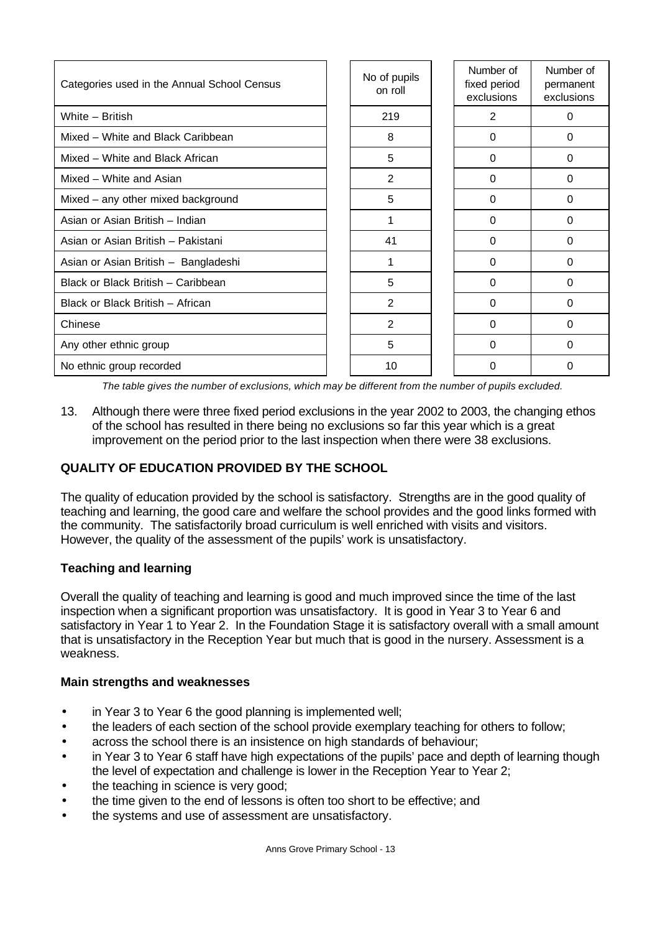| Categories used in the Annual School Census | No of pupils<br>on roll | Number of<br>fixed period<br>exclusions | Number of<br>permanent<br>exclusions |
|---------------------------------------------|-------------------------|-----------------------------------------|--------------------------------------|
| White - British                             | 219                     | $\overline{2}$                          | 0                                    |
| Mixed - White and Black Caribbean           | 8                       | $\Omega$                                | 0                                    |
| Mixed – White and Black African             | 5                       | $\Omega$                                | 0                                    |
| Mixed - White and Asian                     | $\overline{2}$          | $\Omega$                                | $\Omega$                             |
| Mixed - any other mixed background          | 5                       | $\Omega$                                | 0                                    |
| Asian or Asian British - Indian             |                         | $\Omega$                                | 0                                    |
| Asian or Asian British - Pakistani          | 41                      | $\Omega$                                | 0                                    |
| Asian or Asian British - Bangladeshi        | 1                       | 0                                       | 0                                    |
| Black or Black British - Caribbean          | 5                       | $\Omega$                                | 0                                    |
| Black or Black British - African            | 2                       | 0                                       | 0                                    |
| Chinese                                     | $\overline{2}$          | $\Omega$                                | $\Omega$                             |
| Any other ethnic group                      | 5                       | $\Omega$                                | 0                                    |
| No ethnic group recorded                    | 10                      | 0                                       | 0                                    |

*The table gives the number of exclusions, which may be different from the number of pupils excluded.*

13. Although there were three fixed period exclusions in the year 2002 to 2003, the changing ethos of the school has resulted in there being no exclusions so far this year which is a great improvement on the period prior to the last inspection when there were 38 exclusions.

# **QUALITY OF EDUCATION PROVIDED BY THE SCHOOL**

The quality of education provided by the school is satisfactory. Strengths are in the good quality of teaching and learning, the good care and welfare the school provides and the good links formed with the community. The satisfactorily broad curriculum is well enriched with visits and visitors. However, the quality of the assessment of the pupils' work is unsatisfactory.

# **Teaching and learning**

Overall the quality of teaching and learning is good and much improved since the time of the last inspection when a significant proportion was unsatisfactory. It is good in Year 3 to Year 6 and satisfactory in Year 1 to Year 2. In the Foundation Stage it is satisfactory overall with a small amount that is unsatisfactory in the Reception Year but much that is good in the nursery. Assessment is a weakness.

# **Main strengths and weaknesses**

- in Year 3 to Year 6 the good planning is implemented well;
- the leaders of each section of the school provide exemplary teaching for others to follow;
- across the school there is an insistence on high standards of behaviour;
- in Year 3 to Year 6 staff have high expectations of the pupils' pace and depth of learning though the level of expectation and challenge is lower in the Reception Year to Year 2;
- the teaching in science is very good;
- the time given to the end of lessons is often too short to be effective; and
- the systems and use of assessment are unsatisfactory.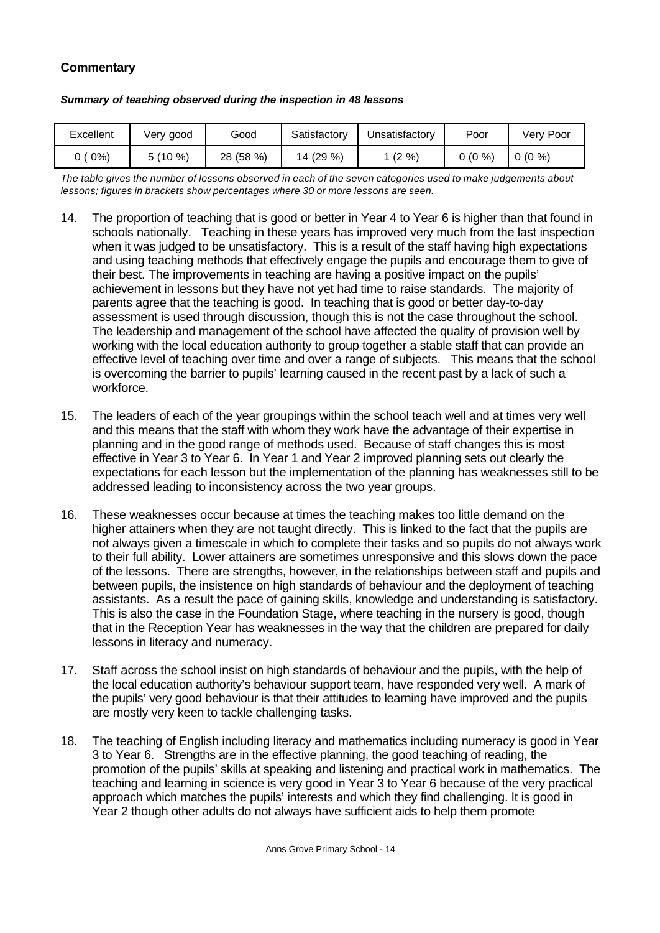# **Commentary**

| Excellent | Very good | Good      | Satisfactory | Unsatisfactory | Poor     | Very Poor |
|-----------|-----------|-----------|--------------|----------------|----------|-----------|
| (0%)      | 5 (10 %)  | 28 (58 %) | 14 (29 %)    | $(2\% )$       | $0(0\%)$ | $0(0\%)$  |

#### *Summary of teaching observed during the inspection in 48 lessons*

*The table gives the number of lessons observed in each of the seven categories used to make judgements about lessons; figures in brackets show percentages where 30 or more lessons are seen.*

- 14. The proportion of teaching that is good or better in Year 4 to Year 6 is higher than that found in schools nationally. Teaching in these years has improved very much from the last inspection when it was judged to be unsatisfactory. This is a result of the staff having high expectations and using teaching methods that effectively engage the pupils and encourage them to give of their best. The improvements in teaching are having a positive impact on the pupils' achievement in lessons but they have not yet had time to raise standards. The majority of parents agree that the teaching is good. In teaching that is good or better day-to-day assessment is used through discussion, though this is not the case throughout the school. The leadership and management of the school have affected the quality of provision well by working with the local education authority to group together a stable staff that can provide an effective level of teaching over time and over a range of subjects. This means that the school is overcoming the barrier to pupils' learning caused in the recent past by a lack of such a workforce.
- 15. The leaders of each of the year groupings within the school teach well and at times very well and this means that the staff with whom they work have the advantage of their expertise in planning and in the good range of methods used. Because of staff changes this is most effective in Year 3 to Year 6. In Year 1 and Year 2 improved planning sets out clearly the expectations for each lesson but the implementation of the planning has weaknesses still to be addressed leading to inconsistency across the two year groups.
- 16. These weaknesses occur because at times the teaching makes too little demand on the higher attainers when they are not taught directly. This is linked to the fact that the pupils are not always given a timescale in which to complete their tasks and so pupils do not always work to their full ability. Lower attainers are sometimes unresponsive and this slows down the pace of the lessons. There are strengths, however, in the relationships between staff and pupils and between pupils, the insistence on high standards of behaviour and the deployment of teaching assistants. As a result the pace of gaining skills, knowledge and understanding is satisfactory. This is also the case in the Foundation Stage, where teaching in the nursery is good, though that in the Reception Year has weaknesses in the way that the children are prepared for daily lessons in literacy and numeracy.
- 17. Staff across the school insist on high standards of behaviour and the pupils, with the help of the local education authority's behaviour support team, have responded very well. A mark of the pupils' very good behaviour is that their attitudes to learning have improved and the pupils are mostly very keen to tackle challenging tasks.
- 18. The teaching of English including literacy and mathematics including numeracy is good in Year 3 to Year 6. Strengths are in the effective planning, the good teaching of reading, the promotion of the pupils' skills at speaking and listening and practical work in mathematics. The teaching and learning in science is very good in Year 3 to Year 6 because of the very practical approach which matches the pupils' interests and which they find challenging. It is good in Year 2 though other adults do not always have sufficient aids to help them promote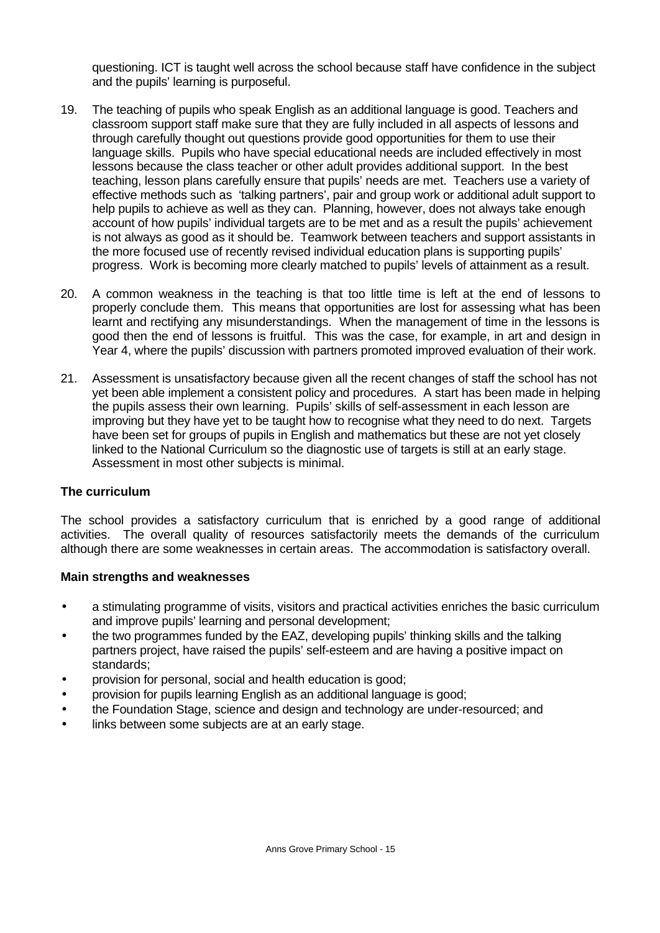questioning. ICT is taught well across the school because staff have confidence in the subject and the pupils' learning is purposeful.

- 19. The teaching of pupils who speak English as an additional language is good. Teachers and classroom support staff make sure that they are fully included in all aspects of lessons and through carefully thought out questions provide good opportunities for them to use their language skills. Pupils who have special educational needs are included effectively in most lessons because the class teacher or other adult provides additional support. In the best teaching, lesson plans carefully ensure that pupils' needs are met. Teachers use a variety of effective methods such as 'talking partners', pair and group work or additional adult support to help pupils to achieve as well as they can. Planning, however, does not always take enough account of how pupils' individual targets are to be met and as a result the pupils' achievement is not always as good as it should be. Teamwork between teachers and support assistants in the more focused use of recently revised individual education plans is supporting pupils' progress. Work is becoming more clearly matched to pupils' levels of attainment as a result.
- 20. A common weakness in the teaching is that too little time is left at the end of lessons to properly conclude them. This means that opportunities are lost for assessing what has been learnt and rectifying any misunderstandings. When the management of time in the lessons is good then the end of lessons is fruitful. This was the case, for example, in art and design in Year 4, where the pupils' discussion with partners promoted improved evaluation of their work.
- 21. Assessment is unsatisfactory because given all the recent changes of staff the school has not yet been able implement a consistent policy and procedures. A start has been made in helping the pupils assess their own learning. Pupils' skills of self-assessment in each lesson are improving but they have yet to be taught how to recognise what they need to do next. Targets have been set for groups of pupils in English and mathematics but these are not yet closely linked to the National Curriculum so the diagnostic use of targets is still at an early stage. Assessment in most other subjects is minimal.

#### **The curriculum**

The school provides a satisfactory curriculum that is enriched by a good range of additional activities. The overall quality of resources satisfactorily meets the demands of the curriculum although there are some weaknesses in certain areas. The accommodation is satisfactory overall.

#### **Main strengths and weaknesses**

- a stimulating programme of visits, visitors and practical activities enriches the basic curriculum and improve pupils' learning and personal development;
- the two programmes funded by the EAZ, developing pupils' thinking skills and the talking partners project, have raised the pupils' self-esteem and are having a positive impact on standards;
- provision for personal, social and health education is good;
- provision for pupils learning English as an additional language is good;
- the Foundation Stage, science and design and technology are under-resourced; and
- links between some subjects are at an early stage.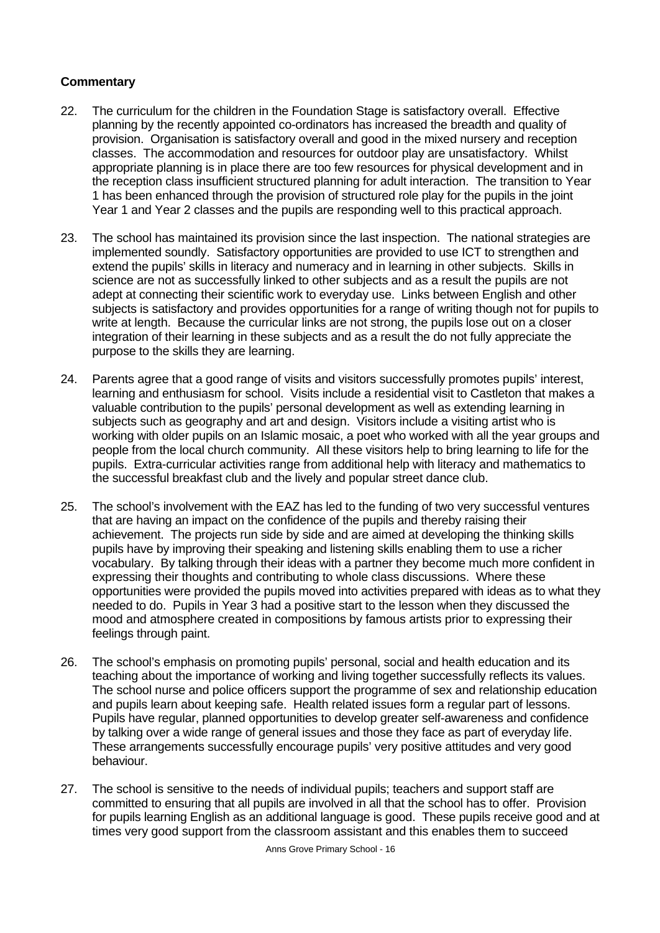- 22. The curriculum for the children in the Foundation Stage is satisfactory overall. Effective planning by the recently appointed co-ordinators has increased the breadth and quality of provision. Organisation is satisfactory overall and good in the mixed nursery and reception classes. The accommodation and resources for outdoor play are unsatisfactory. Whilst appropriate planning is in place there are too few resources for physical development and in the reception class insufficient structured planning for adult interaction. The transition to Year 1 has been enhanced through the provision of structured role play for the pupils in the joint Year 1 and Year 2 classes and the pupils are responding well to this practical approach.
- 23. The school has maintained its provision since the last inspection. The national strategies are implemented soundly. Satisfactory opportunities are provided to use ICT to strengthen and extend the pupils' skills in literacy and numeracy and in learning in other subjects. Skills in science are not as successfully linked to other subjects and as a result the pupils are not adept at connecting their scientific work to everyday use. Links between English and other subjects is satisfactory and provides opportunities for a range of writing though not for pupils to write at length. Because the curricular links are not strong, the pupils lose out on a closer integration of their learning in these subjects and as a result the do not fully appreciate the purpose to the skills they are learning.
- 24. Parents agree that a good range of visits and visitors successfully promotes pupils' interest, learning and enthusiasm for school. Visits include a residential visit to Castleton that makes a valuable contribution to the pupils' personal development as well as extending learning in subjects such as geography and art and design. Visitors include a visiting artist who is working with older pupils on an Islamic mosaic, a poet who worked with all the year groups and people from the local church community. All these visitors help to bring learning to life for the pupils. Extra-curricular activities range from additional help with literacy and mathematics to the successful breakfast club and the lively and popular street dance club.
- 25. The school's involvement with the EAZ has led to the funding of two very successful ventures that are having an impact on the confidence of the pupils and thereby raising their achievement. The projects run side by side and are aimed at developing the thinking skills pupils have by improving their speaking and listening skills enabling them to use a richer vocabulary. By talking through their ideas with a partner they become much more confident in expressing their thoughts and contributing to whole class discussions. Where these opportunities were provided the pupils moved into activities prepared with ideas as to what they needed to do. Pupils in Year 3 had a positive start to the lesson when they discussed the mood and atmosphere created in compositions by famous artists prior to expressing their feelings through paint.
- 26. The school's emphasis on promoting pupils' personal, social and health education and its teaching about the importance of working and living together successfully reflects its values. The school nurse and police officers support the programme of sex and relationship education and pupils learn about keeping safe. Health related issues form a regular part of lessons. Pupils have regular, planned opportunities to develop greater self-awareness and confidence by talking over a wide range of general issues and those they face as part of everyday life. These arrangements successfully encourage pupils' very positive attitudes and very good behaviour.
- 27. The school is sensitive to the needs of individual pupils; teachers and support staff are committed to ensuring that all pupils are involved in all that the school has to offer. Provision for pupils learning English as an additional language is good. These pupils receive good and at times very good support from the classroom assistant and this enables them to succeed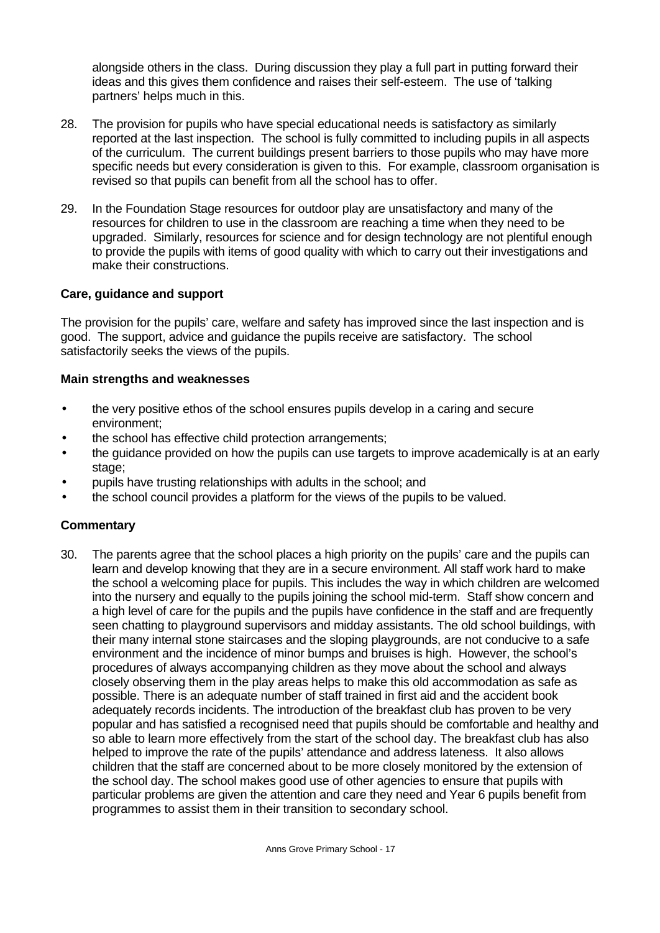alongside others in the class. During discussion they play a full part in putting forward their ideas and this gives them confidence and raises their self-esteem. The use of 'talking partners' helps much in this.

- 28. The provision for pupils who have special educational needs is satisfactory as similarly reported at the last inspection. The school is fully committed to including pupils in all aspects of the curriculum. The current buildings present barriers to those pupils who may have more specific needs but every consideration is given to this. For example, classroom organisation is revised so that pupils can benefit from all the school has to offer.
- 29. In the Foundation Stage resources for outdoor play are unsatisfactory and many of the resources for children to use in the classroom are reaching a time when they need to be upgraded. Similarly, resources for science and for design technology are not plentiful enough to provide the pupils with items of good quality with which to carry out their investigations and make their constructions.

# **Care, guidance and support**

The provision for the pupils' care, welfare and safety has improved since the last inspection and is good. The support, advice and guidance the pupils receive are satisfactory. The school satisfactorily seeks the views of the pupils.

#### **Main strengths and weaknesses**

- the very positive ethos of the school ensures pupils develop in a caring and secure environment;
- the school has effective child protection arrangements;
- the guidance provided on how the pupils can use targets to improve academically is at an early stage:
- pupils have trusting relationships with adults in the school; and
- the school council provides a platform for the views of the pupils to be valued.

#### **Commentary**

30. The parents agree that the school places a high priority on the pupils' care and the pupils can learn and develop knowing that they are in a secure environment. All staff work hard to make the school a welcoming place for pupils. This includes the way in which children are welcomed into the nursery and equally to the pupils joining the school mid-term. Staff show concern and a high level of care for the pupils and the pupils have confidence in the staff and are frequently seen chatting to playground supervisors and midday assistants. The old school buildings, with their many internal stone staircases and the sloping playgrounds, are not conducive to a safe environment and the incidence of minor bumps and bruises is high. However, the school's procedures of always accompanying children as they move about the school and always closely observing them in the play areas helps to make this old accommodation as safe as possible. There is an adequate number of staff trained in first aid and the accident book adequately records incidents. The introduction of the breakfast club has proven to be very popular and has satisfied a recognised need that pupils should be comfortable and healthy and so able to learn more effectively from the start of the school day. The breakfast club has also helped to improve the rate of the pupils' attendance and address lateness. It also allows children that the staff are concerned about to be more closely monitored by the extension of the school day. The school makes good use of other agencies to ensure that pupils with particular problems are given the attention and care they need and Year 6 pupils benefit from programmes to assist them in their transition to secondary school.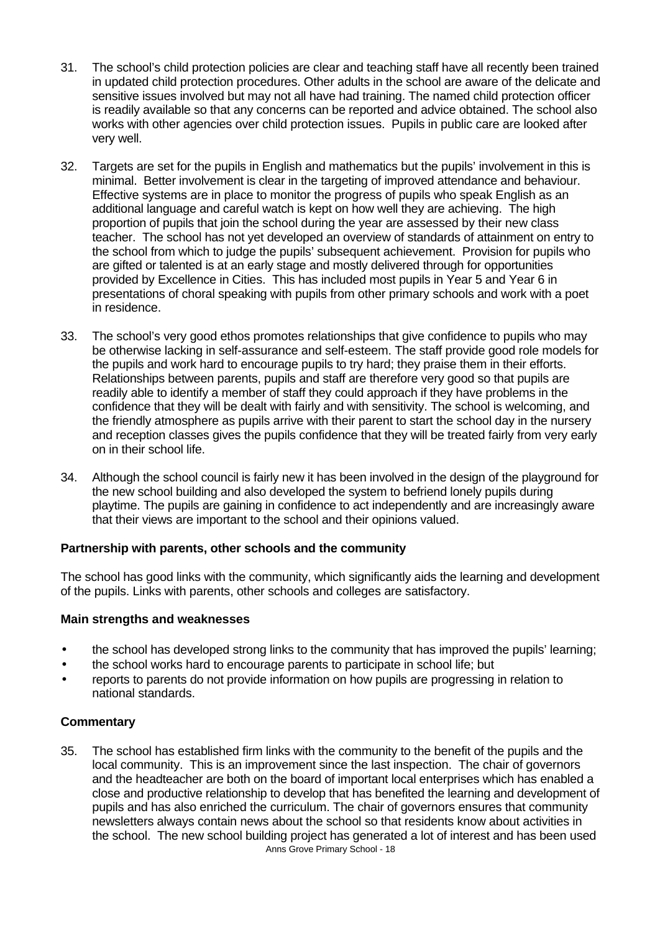- 31. The school's child protection policies are clear and teaching staff have all recently been trained in updated child protection procedures. Other adults in the school are aware of the delicate and sensitive issues involved but may not all have had training. The named child protection officer is readily available so that any concerns can be reported and advice obtained. The school also works with other agencies over child protection issues. Pupils in public care are looked after very well.
- 32. Targets are set for the pupils in English and mathematics but the pupils' involvement in this is minimal. Better involvement is clear in the targeting of improved attendance and behaviour. Effective systems are in place to monitor the progress of pupils who speak English as an additional language and careful watch is kept on how well they are achieving. The high proportion of pupils that join the school during the year are assessed by their new class teacher. The school has not yet developed an overview of standards of attainment on entry to the school from which to judge the pupils' subsequent achievement. Provision for pupils who are gifted or talented is at an early stage and mostly delivered through for opportunities provided by Excellence in Cities. This has included most pupils in Year 5 and Year 6 in presentations of choral speaking with pupils from other primary schools and work with a poet in residence.
- 33. The school's very good ethos promotes relationships that give confidence to pupils who may be otherwise lacking in self-assurance and self-esteem. The staff provide good role models for the pupils and work hard to encourage pupils to try hard; they praise them in their efforts. Relationships between parents, pupils and staff are therefore very good so that pupils are readily able to identify a member of staff they could approach if they have problems in the confidence that they will be dealt with fairly and with sensitivity. The school is welcoming, and the friendly atmosphere as pupils arrive with their parent to start the school day in the nursery and reception classes gives the pupils confidence that they will be treated fairly from very early on in their school life.
- 34. Although the school council is fairly new it has been involved in the design of the playground for the new school building and also developed the system to befriend lonely pupils during playtime. The pupils are gaining in confidence to act independently and are increasingly aware that their views are important to the school and their opinions valued.

# **Partnership with parents, other schools and the community**

The school has good links with the community, which significantly aids the learning and development of the pupils. Links with parents, other schools and colleges are satisfactory.

#### **Main strengths and weaknesses**

- the school has developed strong links to the community that has improved the pupils' learning;
- the school works hard to encourage parents to participate in school life; but
- reports to parents do not provide information on how pupils are progressing in relation to national standards.

#### **Commentary**

Anns Grove Primary School - 18 35. The school has established firm links with the community to the benefit of the pupils and the local community. This is an improvement since the last inspection. The chair of governors and the headteacher are both on the board of important local enterprises which has enabled a close and productive relationship to develop that has benefited the learning and development of pupils and has also enriched the curriculum. The chair of governors ensures that community newsletters always contain news about the school so that residents know about activities in the school. The new school building project has generated a lot of interest and has been used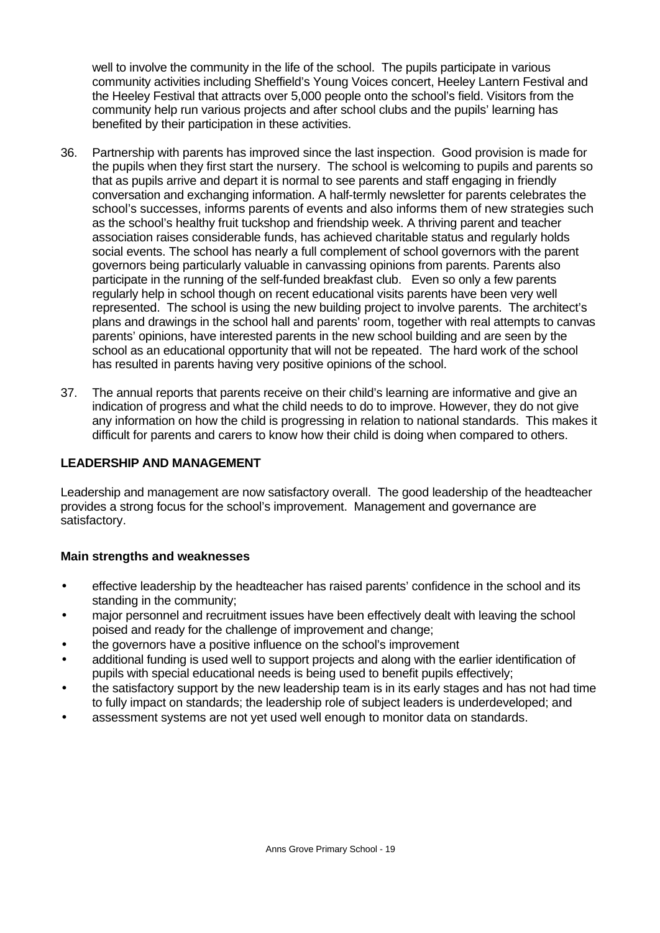well to involve the community in the life of the school. The pupils participate in various community activities including Sheffield's Young Voices concert, Heeley Lantern Festival and the Heeley Festival that attracts over 5,000 people onto the school's field. Visitors from the community help run various projects and after school clubs and the pupils' learning has benefited by their participation in these activities.

- 36. Partnership with parents has improved since the last inspection. Good provision is made for the pupils when they first start the nursery. The school is welcoming to pupils and parents so that as pupils arrive and depart it is normal to see parents and staff engaging in friendly conversation and exchanging information. A half-termly newsletter for parents celebrates the school's successes, informs parents of events and also informs them of new strategies such as the school's healthy fruit tuckshop and friendship week. A thriving parent and teacher association raises considerable funds, has achieved charitable status and regularly holds social events. The school has nearly a full complement of school governors with the parent governors being particularly valuable in canvassing opinions from parents. Parents also participate in the running of the self-funded breakfast club. Even so only a few parents regularly help in school though on recent educational visits parents have been very well represented. The school is using the new building project to involve parents. The architect's plans and drawings in the school hall and parents' room, together with real attempts to canvas parents' opinions, have interested parents in the new school building and are seen by the school as an educational opportunity that will not be repeated. The hard work of the school has resulted in parents having very positive opinions of the school.
- 37. The annual reports that parents receive on their child's learning are informative and give an indication of progress and what the child needs to do to improve. However, they do not give any information on how the child is progressing in relation to national standards. This makes it difficult for parents and carers to know how their child is doing when compared to others.

#### **LEADERSHIP AND MANAGEMENT**

Leadership and management are now satisfactory overall. The good leadership of the headteacher provides a strong focus for the school's improvement. Management and governance are satisfactory.

# **Main strengths and weaknesses**

- effective leadership by the headteacher has raised parents' confidence in the school and its standing in the community;
- major personnel and recruitment issues have been effectively dealt with leaving the school poised and ready for the challenge of improvement and change;
- the governors have a positive influence on the school's improvement
- additional funding is used well to support projects and along with the earlier identification of pupils with special educational needs is being used to benefit pupils effectively;
- the satisfactory support by the new leadership team is in its early stages and has not had time to fully impact on standards; the leadership role of subject leaders is underdeveloped; and
- assessment systems are not yet used well enough to monitor data on standards.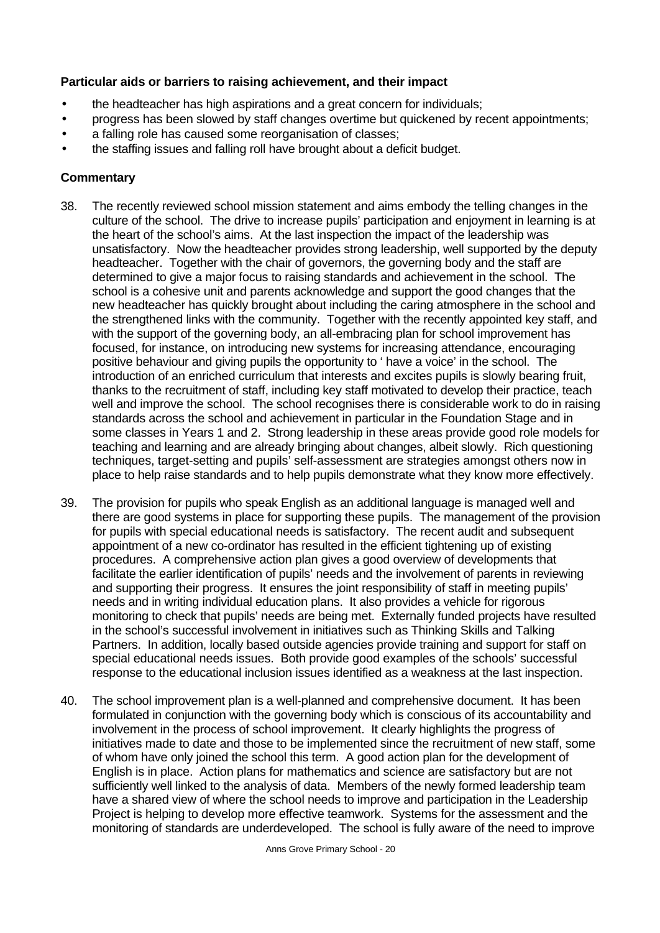#### **Particular aids or barriers to raising achievement, and their impact**

- the headteacher has high aspirations and a great concern for individuals;
- progress has been slowed by staff changes overtime but quickened by recent appointments;
- a falling role has caused some reorganisation of classes;
- the staffing issues and falling roll have brought about a deficit budget.

- 38. The recently reviewed school mission statement and aims embody the telling changes in the culture of the school. The drive to increase pupils' participation and enjoyment in learning is at the heart of the school's aims. At the last inspection the impact of the leadership was unsatisfactory. Now the headteacher provides strong leadership, well supported by the deputy headteacher. Together with the chair of governors, the governing body and the staff are determined to give a major focus to raising standards and achievement in the school. The school is a cohesive unit and parents acknowledge and support the good changes that the new headteacher has quickly brought about including the caring atmosphere in the school and the strengthened links with the community. Together with the recently appointed key staff, and with the support of the governing body, an all-embracing plan for school improvement has focused, for instance, on introducing new systems for increasing attendance, encouraging positive behaviour and giving pupils the opportunity to ' have a voice' in the school. The introduction of an enriched curriculum that interests and excites pupils is slowly bearing fruit, thanks to the recruitment of staff, including key staff motivated to develop their practice, teach well and improve the school. The school recognises there is considerable work to do in raising standards across the school and achievement in particular in the Foundation Stage and in some classes in Years 1 and 2. Strong leadership in these areas provide good role models for teaching and learning and are already bringing about changes, albeit slowly. Rich questioning techniques, target-setting and pupils' self-assessment are strategies amongst others now in place to help raise standards and to help pupils demonstrate what they know more effectively.
- 39. The provision for pupils who speak English as an additional language is managed well and there are good systems in place for supporting these pupils. The management of the provision for pupils with special educational needs is satisfactory. The recent audit and subsequent appointment of a new co-ordinator has resulted in the efficient tightening up of existing procedures. A comprehensive action plan gives a good overview of developments that facilitate the earlier identification of pupils' needs and the involvement of parents in reviewing and supporting their progress. It ensures the joint responsibility of staff in meeting pupils' needs and in writing individual education plans. It also provides a vehicle for rigorous monitoring to check that pupils' needs are being met. Externally funded projects have resulted in the school's successful involvement in initiatives such as Thinking Skills and Talking Partners. In addition, locally based outside agencies provide training and support for staff on special educational needs issues. Both provide good examples of the schools' successful response to the educational inclusion issues identified as a weakness at the last inspection.
- 40. The school improvement plan is a well-planned and comprehensive document. It has been formulated in conjunction with the governing body which is conscious of its accountability and involvement in the process of school improvement. It clearly highlights the progress of initiatives made to date and those to be implemented since the recruitment of new staff, some of whom have only joined the school this term. A good action plan for the development of English is in place. Action plans for mathematics and science are satisfactory but are not sufficiently well linked to the analysis of data. Members of the newly formed leadership team have a shared view of where the school needs to improve and participation in the Leadership Project is helping to develop more effective teamwork. Systems for the assessment and the monitoring of standards are underdeveloped. The school is fully aware of the need to improve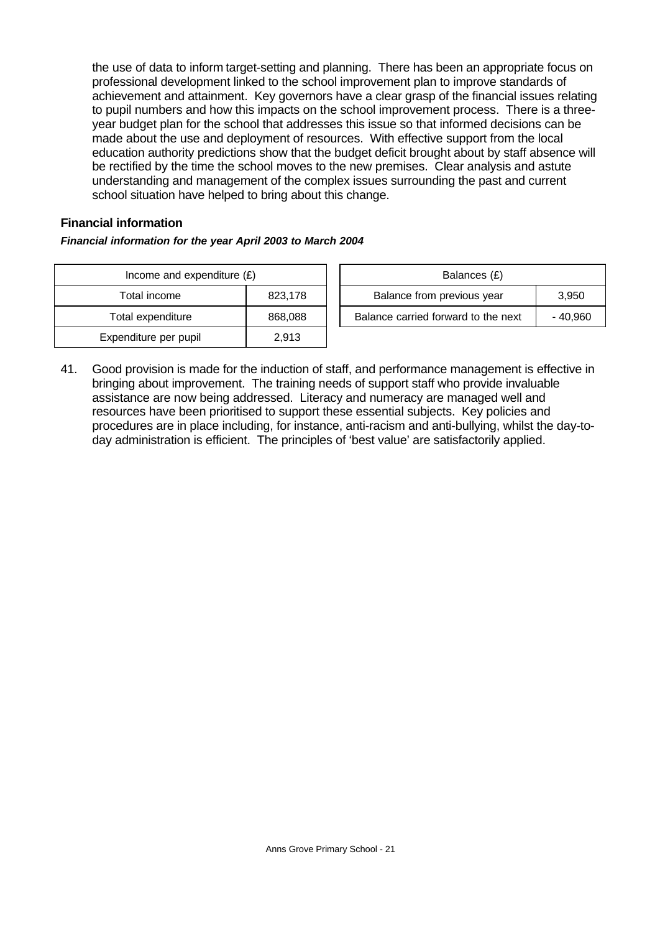the use of data to inform target-setting and planning. There has been an appropriate focus on professional development linked to the school improvement plan to improve standards of achievement and attainment. Key governors have a clear grasp of the financial issues relating to pupil numbers and how this impacts on the school improvement process. There is a threeyear budget plan for the school that addresses this issue so that informed decisions can be made about the use and deployment of resources. With effective support from the local education authority predictions show that the budget deficit brought about by staff absence will be rectified by the time the school moves to the new premises. Clear analysis and astute understanding and management of the complex issues surrounding the past and current school situation have helped to bring about this change.

#### **Financial information**

#### *Financial information for the year April 2003 to March 2004*

| Income and expenditure $(E)$ |         |  | Balances (£)                     |
|------------------------------|---------|--|----------------------------------|
| Total income                 | 823,178 |  | Balance from previous year       |
| Total expenditure            | 868,088 |  | Balance carried forward to the i |
| Expenditure per pupil        | 2,913   |  |                                  |

| Income and expenditure $(E)$ |         | Balances (£)                        |          |
|------------------------------|---------|-------------------------------------|----------|
| Total income                 | 823.178 | Balance from previous year          | 3.950    |
| Total expenditure            | 868,088 | Balance carried forward to the next | - 40.960 |

41. Good provision is made for the induction of staff, and performance management is effective in bringing about improvement. The training needs of support staff who provide invaluable assistance are now being addressed. Literacy and numeracy are managed well and resources have been prioritised to support these essential subjects. Key policies and procedures are in place including, for instance, anti-racism and anti-bullying, whilst the day-today administration is efficient. The principles of 'best value' are satisfactorily applied.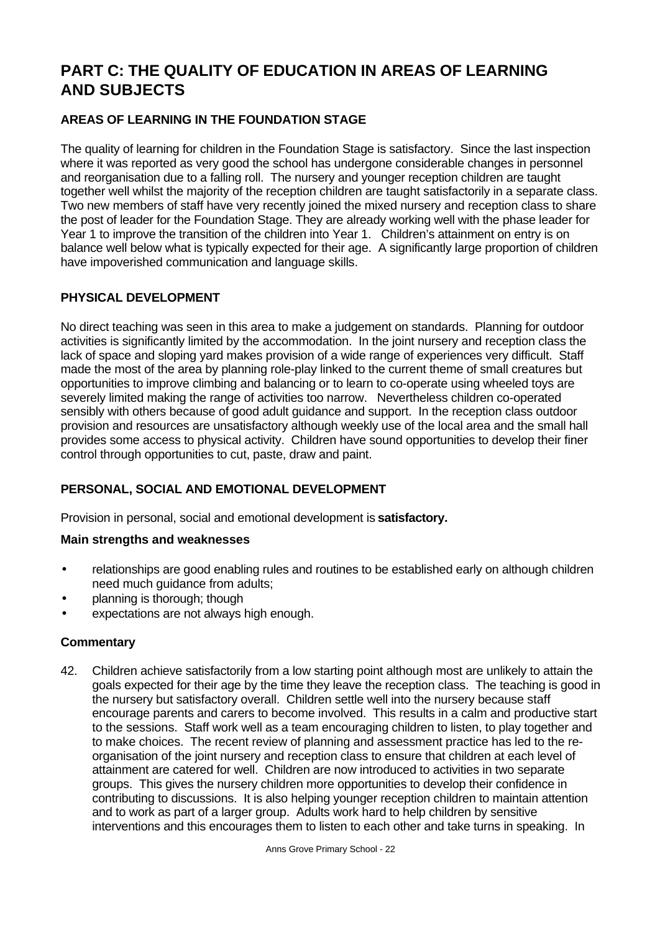# **PART C: THE QUALITY OF EDUCATION IN AREAS OF LEARNING AND SUBJECTS**

# **AREAS OF LEARNING IN THE FOUNDATION STAGE**

The quality of learning for children in the Foundation Stage is satisfactory. Since the last inspection where it was reported as very good the school has undergone considerable changes in personnel and reorganisation due to a falling roll. The nursery and younger reception children are taught together well whilst the majority of the reception children are taught satisfactorily in a separate class. Two new members of staff have very recently joined the mixed nursery and reception class to share the post of leader for the Foundation Stage. They are already working well with the phase leader for Year 1 to improve the transition of the children into Year 1. Children's attainment on entry is on balance well below what is typically expected for their age. A significantly large proportion of children have impoverished communication and language skills.

# **PHYSICAL DEVELOPMENT**

No direct teaching was seen in this area to make a judgement on standards. Planning for outdoor activities is significantly limited by the accommodation. In the joint nursery and reception class the lack of space and sloping yard makes provision of a wide range of experiences very difficult. Staff made the most of the area by planning role-play linked to the current theme of small creatures but opportunities to improve climbing and balancing or to learn to co-operate using wheeled toys are severely limited making the range of activities too narrow. Nevertheless children co-operated sensibly with others because of good adult guidance and support. In the reception class outdoor provision and resources are unsatisfactory although weekly use of the local area and the small hall provides some access to physical activity. Children have sound opportunities to develop their finer control through opportunities to cut, paste, draw and paint.

# **PERSONAL, SOCIAL AND EMOTIONAL DEVELOPMENT**

Provision in personal, social and emotional development is **satisfactory.**

# **Main strengths and weaknesses**

- relationships are good enabling rules and routines to be established early on although children need much guidance from adults;
- planning is thorough; though
- expectations are not always high enough.

#### **Commentary**

42. Children achieve satisfactorily from a low starting point although most are unlikely to attain the goals expected for their age by the time they leave the reception class. The teaching is good in the nursery but satisfactory overall. Children settle well into the nursery because staff encourage parents and carers to become involved. This results in a calm and productive start to the sessions. Staff work well as a team encouraging children to listen, to play together and to make choices. The recent review of planning and assessment practice has led to the reorganisation of the joint nursery and reception class to ensure that children at each level of attainment are catered for well. Children are now introduced to activities in two separate groups. This gives the nursery children more opportunities to develop their confidence in contributing to discussions. It is also helping younger reception children to maintain attention and to work as part of a larger group. Adults work hard to help children by sensitive interventions and this encourages them to listen to each other and take turns in speaking. In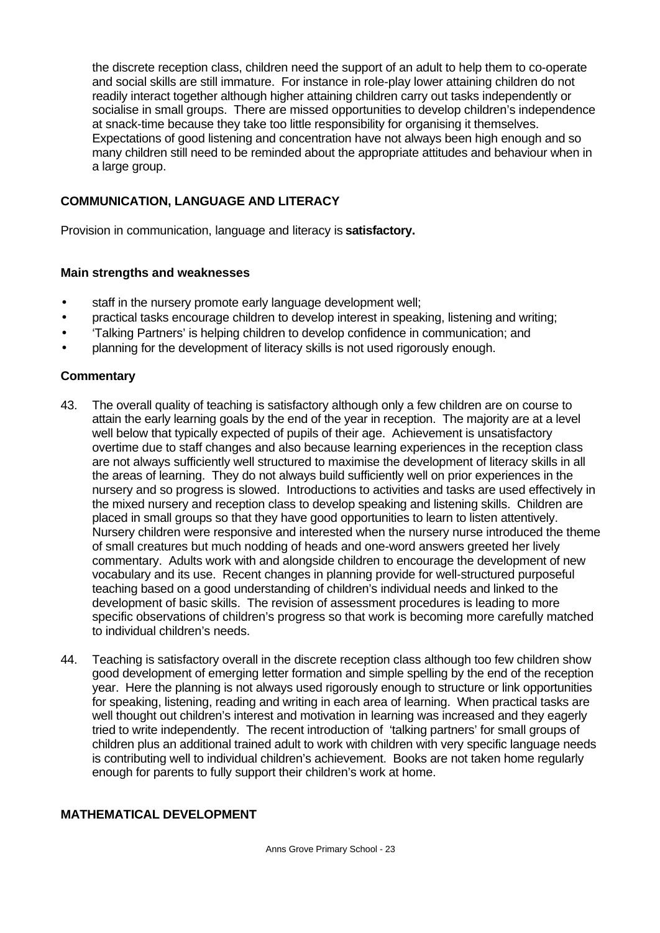the discrete reception class, children need the support of an adult to help them to co-operate and social skills are still immature. For instance in role-play lower attaining children do not readily interact together although higher attaining children carry out tasks independently or socialise in small groups. There are missed opportunities to develop children's independence at snack-time because they take too little responsibility for organising it themselves. Expectations of good listening and concentration have not always been high enough and so many children still need to be reminded about the appropriate attitudes and behaviour when in a large group.

# **COMMUNICATION, LANGUAGE AND LITERACY**

Provision in communication, language and literacy is **satisfactory.**

#### **Main strengths and weaknesses**

- staff in the nursery promote early language development well;
- practical tasks encourage children to develop interest in speaking, listening and writing;
- 'Talking Partners' is helping children to develop confidence in communication; and
- planning for the development of literacy skills is not used rigorously enough.

# **Commentary**

- 43. The overall quality of teaching is satisfactory although only a few children are on course to attain the early learning goals by the end of the year in reception. The majority are at a level well below that typically expected of pupils of their age. Achievement is unsatisfactory overtime due to staff changes and also because learning experiences in the reception class are not always sufficiently well structured to maximise the development of literacy skills in all the areas of learning. They do not always build sufficiently well on prior experiences in the nursery and so progress is slowed. Introductions to activities and tasks are used effectively in the mixed nursery and reception class to develop speaking and listening skills. Children are placed in small groups so that they have good opportunities to learn to listen attentively. Nursery children were responsive and interested when the nursery nurse introduced the theme of small creatures but much nodding of heads and one-word answers greeted her lively commentary. Adults work with and alongside children to encourage the development of new vocabulary and its use. Recent changes in planning provide for well-structured purposeful teaching based on a good understanding of children's individual needs and linked to the development of basic skills. The revision of assessment procedures is leading to more specific observations of children's progress so that work is becoming more carefully matched to individual children's needs.
- 44. Teaching is satisfactory overall in the discrete reception class although too few children show good development of emerging letter formation and simple spelling by the end of the reception year. Here the planning is not always used rigorously enough to structure or link opportunities for speaking, listening, reading and writing in each area of learning. When practical tasks are well thought out children's interest and motivation in learning was increased and they eagerly tried to write independently. The recent introduction of 'talking partners' for small groups of children plus an additional trained adult to work with children with very specific language needs is contributing well to individual children's achievement. Books are not taken home regularly enough for parents to fully support their children's work at home.

#### **MATHEMATICAL DEVELOPMENT**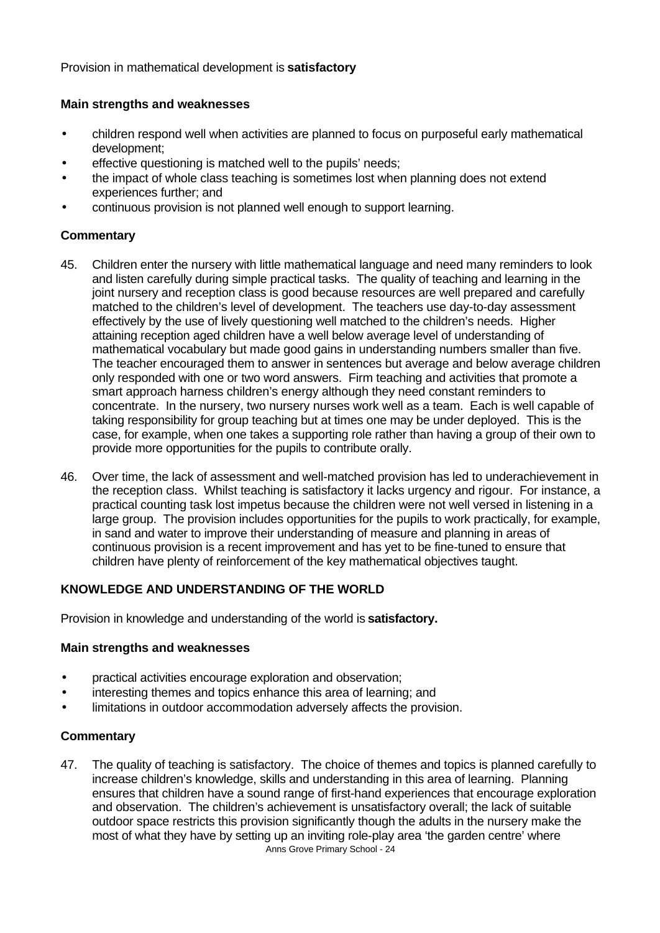Provision in mathematical development is **satisfactory**

#### **Main strengths and weaknesses**

- children respond well when activities are planned to focus on purposeful early mathematical development;
- effective questioning is matched well to the pupils' needs;
- the impact of whole class teaching is sometimes lost when planning does not extend experiences further; and
- continuous provision is not planned well enough to support learning.

#### **Commentary**

- 45. Children enter the nursery with little mathematical language and need many reminders to look and listen carefully during simple practical tasks. The quality of teaching and learning in the joint nursery and reception class is good because resources are well prepared and carefully matched to the children's level of development. The teachers use day-to-day assessment effectively by the use of lively questioning well matched to the children's needs. Higher attaining reception aged children have a well below average level of understanding of mathematical vocabulary but made good gains in understanding numbers smaller than five. The teacher encouraged them to answer in sentences but average and below average children only responded with one or two word answers. Firm teaching and activities that promote a smart approach harness children's energy although they need constant reminders to concentrate. In the nursery, two nursery nurses work well as a team. Each is well capable of taking responsibility for group teaching but at times one may be under deployed. This is the case, for example, when one takes a supporting role rather than having a group of their own to provide more opportunities for the pupils to contribute orally.
- 46. Over time, the lack of assessment and well-matched provision has led to underachievement in the reception class. Whilst teaching is satisfactory it lacks urgency and rigour. For instance, a practical counting task lost impetus because the children were not well versed in listening in a large group. The provision includes opportunities for the pupils to work practically, for example, in sand and water to improve their understanding of measure and planning in areas of continuous provision is a recent improvement and has yet to be fine-tuned to ensure that children have plenty of reinforcement of the key mathematical objectives taught.

# **KNOWLEDGE AND UNDERSTANDING OF THE WORLD**

Provision in knowledge and understanding of the world is **satisfactory.**

#### **Main strengths and weaknesses**

- practical activities encourage exploration and observation;
- interesting themes and topics enhance this area of learning; and
- limitations in outdoor accommodation adversely affects the provision.

#### **Commentary**

Anns Grove Primary School - 24 47. The quality of teaching is satisfactory. The choice of themes and topics is planned carefully to increase children's knowledge, skills and understanding in this area of learning. Planning ensures that children have a sound range of first-hand experiences that encourage exploration and observation. The children's achievement is unsatisfactory overall; the lack of suitable outdoor space restricts this provision significantly though the adults in the nursery make the most of what they have by setting up an inviting role-play area 'the garden centre' where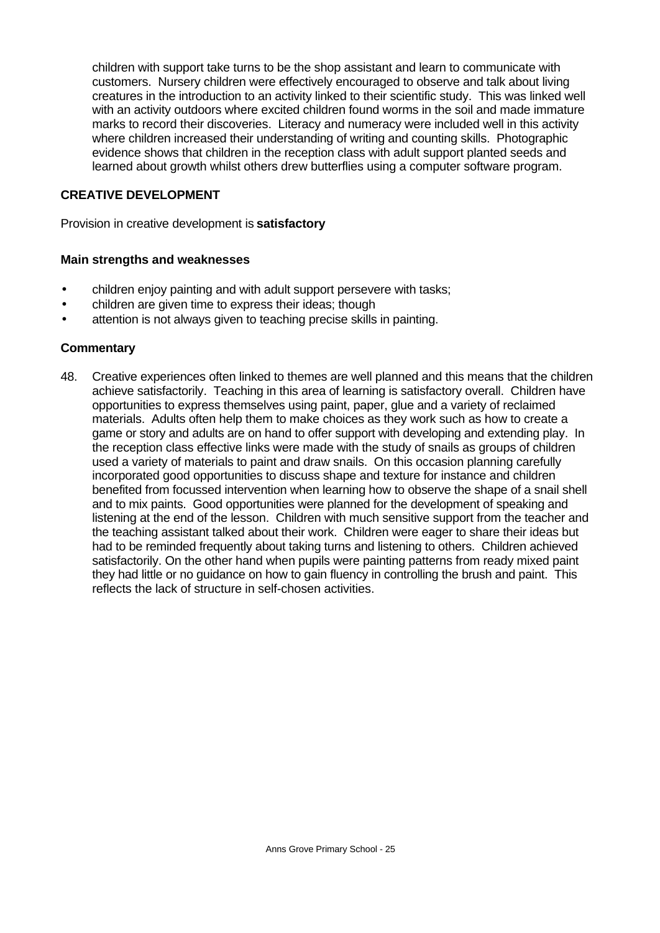children with support take turns to be the shop assistant and learn to communicate with customers. Nursery children were effectively encouraged to observe and talk about living creatures in the introduction to an activity linked to their scientific study. This was linked well with an activity outdoors where excited children found worms in the soil and made immature marks to record their discoveries. Literacy and numeracy were included well in this activity where children increased their understanding of writing and counting skills. Photographic evidence shows that children in the reception class with adult support planted seeds and learned about growth whilst others drew butterflies using a computer software program.

#### **CREATIVE DEVELOPMENT**

Provision in creative development is **satisfactory**

#### **Main strengths and weaknesses**

- children enjoy painting and with adult support persevere with tasks;
- children are given time to express their ideas; though
- attention is not always given to teaching precise skills in painting.

#### **Commentary**

48. Creative experiences often linked to themes are well planned and this means that the children achieve satisfactorily. Teaching in this area of learning is satisfactory overall. Children have opportunities to express themselves using paint, paper, glue and a variety of reclaimed materials. Adults often help them to make choices as they work such as how to create a game or story and adults are on hand to offer support with developing and extending play. In the reception class effective links were made with the study of snails as groups of children used a variety of materials to paint and draw snails. On this occasion planning carefully incorporated good opportunities to discuss shape and texture for instance and children benefited from focussed intervention when learning how to observe the shape of a snail shell and to mix paints. Good opportunities were planned for the development of speaking and listening at the end of the lesson. Children with much sensitive support from the teacher and the teaching assistant talked about their work. Children were eager to share their ideas but had to be reminded frequently about taking turns and listening to others. Children achieved satisfactorily. On the other hand when pupils were painting patterns from ready mixed paint they had little or no guidance on how to gain fluency in controlling the brush and paint. This reflects the lack of structure in self-chosen activities.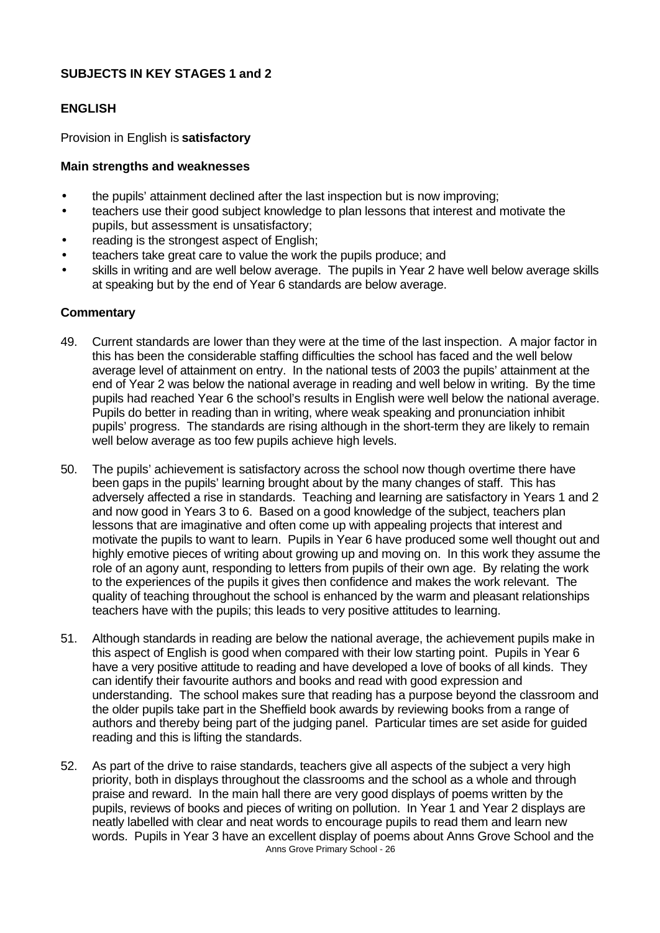#### **SUBJECTS IN KEY STAGES 1 and 2**

# **ENGLISH**

Provision in English is **satisfactory**

#### **Main strengths and weaknesses**

- the pupils' attainment declined after the last inspection but is now improving;
- teachers use their good subject knowledge to plan lessons that interest and motivate the pupils, but assessment is unsatisfactory;
- reading is the strongest aspect of English;
- teachers take great care to value the work the pupils produce; and
- skills in writing and are well below average. The pupils in Year 2 have well below average skills at speaking but by the end of Year 6 standards are below average.

- 49. Current standards are lower than they were at the time of the last inspection. A major factor in this has been the considerable staffing difficulties the school has faced and the well below average level of attainment on entry. In the national tests of 2003 the pupils' attainment at the end of Year 2 was below the national average in reading and well below in writing. By the time pupils had reached Year 6 the school's results in English were well below the national average. Pupils do better in reading than in writing, where weak speaking and pronunciation inhibit pupils' progress. The standards are rising although in the short-term they are likely to remain well below average as too few pupils achieve high levels.
- 50. The pupils' achievement is satisfactory across the school now though overtime there have been gaps in the pupils' learning brought about by the many changes of staff. This has adversely affected a rise in standards. Teaching and learning are satisfactory in Years 1 and 2 and now good in Years 3 to 6. Based on a good knowledge of the subject, teachers plan lessons that are imaginative and often come up with appealing projects that interest and motivate the pupils to want to learn. Pupils in Year 6 have produced some well thought out and highly emotive pieces of writing about growing up and moving on. In this work they assume the role of an agony aunt, responding to letters from pupils of their own age. By relating the work to the experiences of the pupils it gives then confidence and makes the work relevant. The quality of teaching throughout the school is enhanced by the warm and pleasant relationships teachers have with the pupils; this leads to very positive attitudes to learning.
- 51. Although standards in reading are below the national average, the achievement pupils make in this aspect of English is good when compared with their low starting point. Pupils in Year 6 have a very positive attitude to reading and have developed a love of books of all kinds. They can identify their favourite authors and books and read with good expression and understanding. The school makes sure that reading has a purpose beyond the classroom and the older pupils take part in the Sheffield book awards by reviewing books from a range of authors and thereby being part of the judging panel. Particular times are set aside for guided reading and this is lifting the standards.
- Anns Grove Primary School 26 52. As part of the drive to raise standards, teachers give all aspects of the subject a very high priority, both in displays throughout the classrooms and the school as a whole and through praise and reward. In the main hall there are very good displays of poems written by the pupils, reviews of books and pieces of writing on pollution. In Year 1 and Year 2 displays are neatly labelled with clear and neat words to encourage pupils to read them and learn new words. Pupils in Year 3 have an excellent display of poems about Anns Grove School and the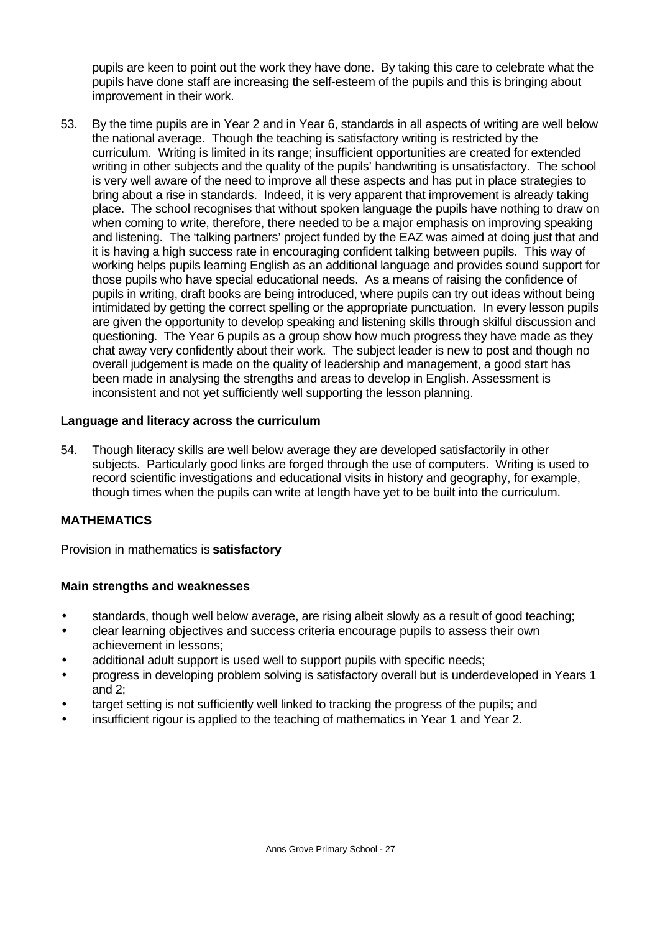pupils are keen to point out the work they have done. By taking this care to celebrate what the pupils have done staff are increasing the self-esteem of the pupils and this is bringing about improvement in their work.

53. By the time pupils are in Year 2 and in Year 6, standards in all aspects of writing are well below the national average. Though the teaching is satisfactory writing is restricted by the curriculum. Writing is limited in its range; insufficient opportunities are created for extended writing in other subjects and the quality of the pupils' handwriting is unsatisfactory. The school is very well aware of the need to improve all these aspects and has put in place strategies to bring about a rise in standards. Indeed, it is very apparent that improvement is already taking place. The school recognises that without spoken language the pupils have nothing to draw on when coming to write, therefore, there needed to be a major emphasis on improving speaking and listening. The 'talking partners' project funded by the EAZ was aimed at doing just that and it is having a high success rate in encouraging confident talking between pupils. This way of working helps pupils learning English as an additional language and provides sound support for those pupils who have special educational needs. As a means of raising the confidence of pupils in writing, draft books are being introduced, where pupils can try out ideas without being intimidated by getting the correct spelling or the appropriate punctuation. In every lesson pupils are given the opportunity to develop speaking and listening skills through skilful discussion and questioning. The Year 6 pupils as a group show how much progress they have made as they chat away very confidently about their work. The subject leader is new to post and though no overall judgement is made on the quality of leadership and management, a good start has been made in analysing the strengths and areas to develop in English. Assessment is inconsistent and not yet sufficiently well supporting the lesson planning.

# **Language and literacy across the curriculum**

54. Though literacy skills are well below average they are developed satisfactorily in other subjects. Particularly good links are forged through the use of computers. Writing is used to record scientific investigations and educational visits in history and geography, for example, though times when the pupils can write at length have yet to be built into the curriculum.

# **MATHEMATICS**

Provision in mathematics is **satisfactory**

# **Main strengths and weaknesses**

- standards, though well below average, are rising albeit slowly as a result of good teaching;
- clear learning objectives and success criteria encourage pupils to assess their own achievement in lessons;
- additional adult support is used well to support pupils with specific needs;
- progress in developing problem solving is satisfactory overall but is underdeveloped in Years 1 and 2;
- target setting is not sufficiently well linked to tracking the progress of the pupils; and
- insufficient rigour is applied to the teaching of mathematics in Year 1 and Year 2.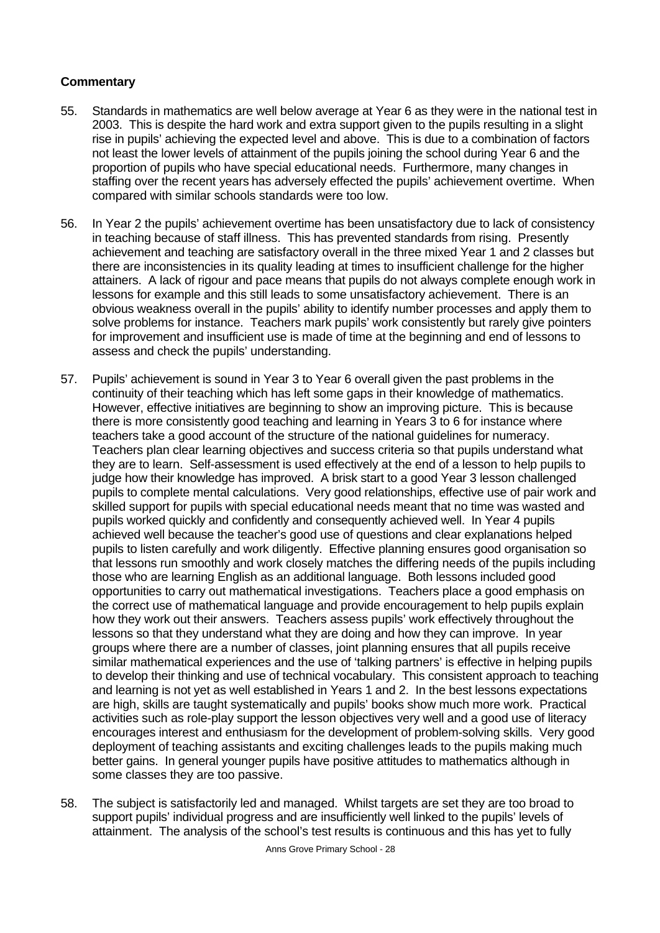- 55. Standards in mathematics are well below average at Year 6 as they were in the national test in 2003. This is despite the hard work and extra support given to the pupils resulting in a slight rise in pupils' achieving the expected level and above. This is due to a combination of factors not least the lower levels of attainment of the pupils joining the school during Year 6 and the proportion of pupils who have special educational needs. Furthermore, many changes in staffing over the recent years has adversely effected the pupils' achievement overtime. When compared with similar schools standards were too low.
- 56. In Year 2 the pupils' achievement overtime has been unsatisfactory due to lack of consistency in teaching because of staff illness. This has prevented standards from rising. Presently achievement and teaching are satisfactory overall in the three mixed Year 1 and 2 classes but there are inconsistencies in its quality leading at times to insufficient challenge for the higher attainers. A lack of rigour and pace means that pupils do not always complete enough work in lessons for example and this still leads to some unsatisfactory achievement. There is an obvious weakness overall in the pupils' ability to identify number processes and apply them to solve problems for instance. Teachers mark pupils' work consistently but rarely give pointers for improvement and insufficient use is made of time at the beginning and end of lessons to assess and check the pupils' understanding.
- 57. Pupils' achievement is sound in Year 3 to Year 6 overall given the past problems in the continuity of their teaching which has left some gaps in their knowledge of mathematics. However, effective initiatives are beginning to show an improving picture. This is because there is more consistently good teaching and learning in Years 3 to 6 for instance where teachers take a good account of the structure of the national guidelines for numeracy. Teachers plan clear learning objectives and success criteria so that pupils understand what they are to learn. Self-assessment is used effectively at the end of a lesson to help pupils to judge how their knowledge has improved. A brisk start to a good Year 3 lesson challenged pupils to complete mental calculations. Very good relationships, effective use of pair work and skilled support for pupils with special educational needs meant that no time was wasted and pupils worked quickly and confidently and consequently achieved well. In Year 4 pupils achieved well because the teacher's good use of questions and clear explanations helped pupils to listen carefully and work diligently. Effective planning ensures good organisation so that lessons run smoothly and work closely matches the differing needs of the pupils including those who are learning English as an additional language. Both lessons included good opportunities to carry out mathematical investigations. Teachers place a good emphasis on the correct use of mathematical language and provide encouragement to help pupils explain how they work out their answers. Teachers assess pupils' work effectively throughout the lessons so that they understand what they are doing and how they can improve. In year groups where there are a number of classes, joint planning ensures that all pupils receive similar mathematical experiences and the use of 'talking partners' is effective in helping pupils to develop their thinking and use of technical vocabulary. This consistent approach to teaching and learning is not yet as well established in Years 1 and 2. In the best lessons expectations are high, skills are taught systematically and pupils' books show much more work. Practical activities such as role-play support the lesson objectives very well and a good use of literacy encourages interest and enthusiasm for the development of problem-solving skills. Very good deployment of teaching assistants and exciting challenges leads to the pupils making much better gains. In general younger pupils have positive attitudes to mathematics although in some classes they are too passive.
- 58. The subject is satisfactorily led and managed. Whilst targets are set they are too broad to support pupils' individual progress and are insufficiently well linked to the pupils' levels of attainment. The analysis of the school's test results is continuous and this has yet to fully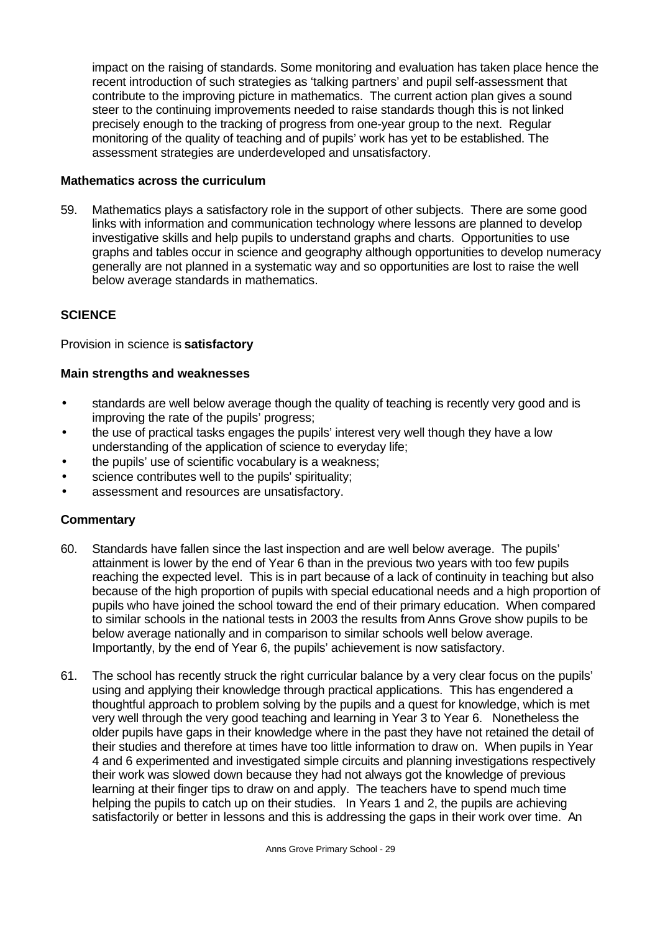impact on the raising of standards. Some monitoring and evaluation has taken place hence the recent introduction of such strategies as 'talking partners' and pupil self-assessment that contribute to the improving picture in mathematics. The current action plan gives a sound steer to the continuing improvements needed to raise standards though this is not linked precisely enough to the tracking of progress from one-year group to the next. Regular monitoring of the quality of teaching and of pupils' work has yet to be established. The assessment strategies are underdeveloped and unsatisfactory.

#### **Mathematics across the curriculum**

59. Mathematics plays a satisfactory role in the support of other subjects. There are some good links with information and communication technology where lessons are planned to develop investigative skills and help pupils to understand graphs and charts. Opportunities to use graphs and tables occur in science and geography although opportunities to develop numeracy generally are not planned in a systematic way and so opportunities are lost to raise the well below average standards in mathematics.

# **SCIENCE**

Provision in science is **satisfactory**

# **Main strengths and weaknesses**

- standards are well below average though the quality of teaching is recently very good and is improving the rate of the pupils' progress;
- the use of practical tasks engages the pupils' interest very well though they have a low understanding of the application of science to everyday life;
- the pupils' use of scientific vocabulary is a weakness;
- science contributes well to the pupils' spirituality;
- assessment and resources are unsatisfactory.

- 60. Standards have fallen since the last inspection and are well below average. The pupils' attainment is lower by the end of Year 6 than in the previous two years with too few pupils reaching the expected level. This is in part because of a lack of continuity in teaching but also because of the high proportion of pupils with special educational needs and a high proportion of pupils who have joined the school toward the end of their primary education. When compared to similar schools in the national tests in 2003 the results from Anns Grove show pupils to be below average nationally and in comparison to similar schools well below average. Importantly, by the end of Year 6, the pupils' achievement is now satisfactory.
- 61. The school has recently struck the right curricular balance by a very clear focus on the pupils' using and applying their knowledge through practical applications. This has engendered a thoughtful approach to problem solving by the pupils and a quest for knowledge, which is met very well through the very good teaching and learning in Year 3 to Year 6. Nonetheless the older pupils have gaps in their knowledge where in the past they have not retained the detail of their studies and therefore at times have too little information to draw on. When pupils in Year 4 and 6 experimented and investigated simple circuits and planning investigations respectively their work was slowed down because they had not always got the knowledge of previous learning at their finger tips to draw on and apply. The teachers have to spend much time helping the pupils to catch up on their studies. In Years 1 and 2, the pupils are achieving satisfactorily or better in lessons and this is addressing the gaps in their work over time. An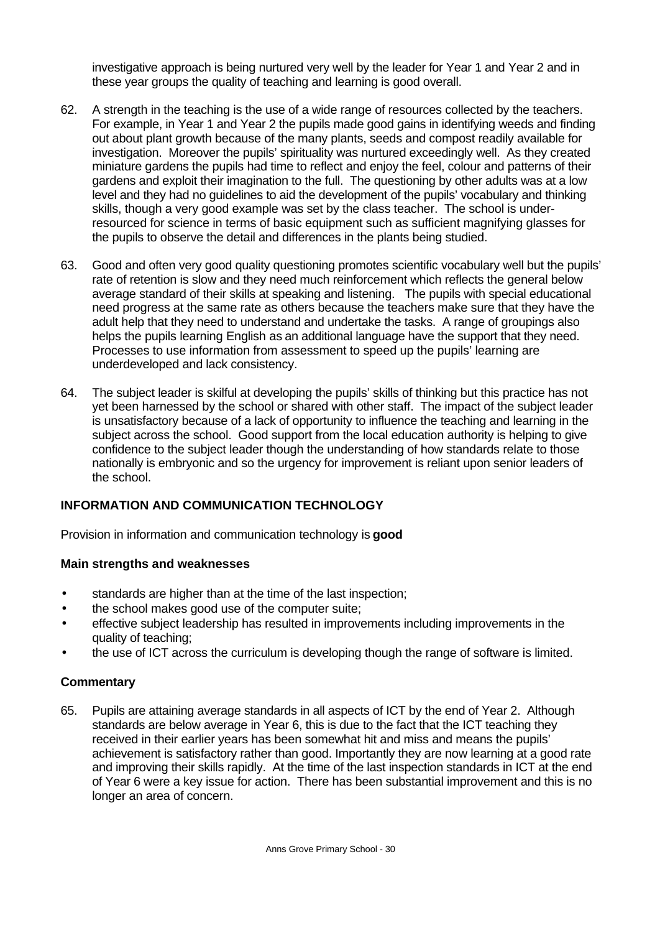investigative approach is being nurtured very well by the leader for Year 1 and Year 2 and in these year groups the quality of teaching and learning is good overall.

- 62. A strength in the teaching is the use of a wide range of resources collected by the teachers. For example, in Year 1 and Year 2 the pupils made good gains in identifying weeds and finding out about plant growth because of the many plants, seeds and compost readily available for investigation. Moreover the pupils' spirituality was nurtured exceedingly well. As they created miniature gardens the pupils had time to reflect and enjoy the feel, colour and patterns of their gardens and exploit their imagination to the full. The questioning by other adults was at a low level and they had no guidelines to aid the development of the pupils' vocabulary and thinking skills, though a very good example was set by the class teacher. The school is underresourced for science in terms of basic equipment such as sufficient magnifying glasses for the pupils to observe the detail and differences in the plants being studied.
- 63. Good and often very good quality questioning promotes scientific vocabulary well but the pupils' rate of retention is slow and they need much reinforcement which reflects the general below average standard of their skills at speaking and listening. The pupils with special educational need progress at the same rate as others because the teachers make sure that they have the adult help that they need to understand and undertake the tasks. A range of groupings also helps the pupils learning English as an additional language have the support that they need. Processes to use information from assessment to speed up the pupils' learning are underdeveloped and lack consistency.
- 64. The subject leader is skilful at developing the pupils' skills of thinking but this practice has not yet been harnessed by the school or shared with other staff. The impact of the subject leader is unsatisfactory because of a lack of opportunity to influence the teaching and learning in the subject across the school. Good support from the local education authority is helping to give confidence to the subject leader though the understanding of how standards relate to those nationally is embryonic and so the urgency for improvement is reliant upon senior leaders of the school.

# **INFORMATION AND COMMUNICATION TECHNOLOGY**

Provision in information and communication technology is **good**

#### **Main strengths and weaknesses**

- standards are higher than at the time of the last inspection;
- the school makes good use of the computer suite;
- effective subject leadership has resulted in improvements including improvements in the quality of teaching;
- the use of ICT across the curriculum is developing though the range of software is limited.

#### **Commentary**

65. Pupils are attaining average standards in all aspects of ICT by the end of Year 2. Although standards are below average in Year 6, this is due to the fact that the ICT teaching they received in their earlier years has been somewhat hit and miss and means the pupils' achievement is satisfactory rather than good. Importantly they are now learning at a good rate and improving their skills rapidly. At the time of the last inspection standards in ICT at the end of Year 6 were a key issue for action. There has been substantial improvement and this is no longer an area of concern.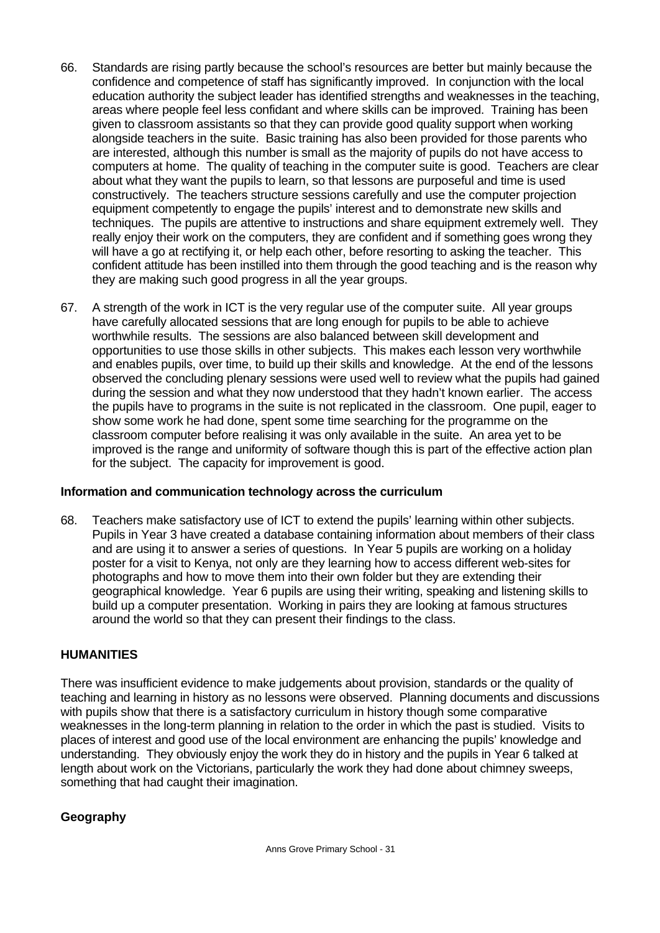- 66. Standards are rising partly because the school's resources are better but mainly because the confidence and competence of staff has significantly improved. In conjunction with the local education authority the subject leader has identified strengths and weaknesses in the teaching, areas where people feel less confidant and where skills can be improved. Training has been given to classroom assistants so that they can provide good quality support when working alongside teachers in the suite. Basic training has also been provided for those parents who are interested, although this number is small as the majority of pupils do not have access to computers at home. The quality of teaching in the computer suite is good. Teachers are clear about what they want the pupils to learn, so that lessons are purposeful and time is used constructively. The teachers structure sessions carefully and use the computer projection equipment competently to engage the pupils' interest and to demonstrate new skills and techniques. The pupils are attentive to instructions and share equipment extremely well. They really enjoy their work on the computers, they are confident and if something goes wrong they will have a go at rectifying it, or help each other, before resorting to asking the teacher. This confident attitude has been instilled into them through the good teaching and is the reason why they are making such good progress in all the year groups.
- 67. A strength of the work in ICT is the very regular use of the computer suite. All year groups have carefully allocated sessions that are long enough for pupils to be able to achieve worthwhile results. The sessions are also balanced between skill development and opportunities to use those skills in other subjects. This makes each lesson very worthwhile and enables pupils, over time, to build up their skills and knowledge. At the end of the lessons observed the concluding plenary sessions were used well to review what the pupils had gained during the session and what they now understood that they hadn't known earlier. The access the pupils have to programs in the suite is not replicated in the classroom. One pupil, eager to show some work he had done, spent some time searching for the programme on the classroom computer before realising it was only available in the suite. An area yet to be improved is the range and uniformity of software though this is part of the effective action plan for the subject. The capacity for improvement is good.

# **Information and communication technology across the curriculum**

68. Teachers make satisfactory use of ICT to extend the pupils' learning within other subjects. Pupils in Year 3 have created a database containing information about members of their class and are using it to answer a series of questions. In Year 5 pupils are working on a holiday poster for a visit to Kenya, not only are they learning how to access different web-sites for photographs and how to move them into their own folder but they are extending their geographical knowledge. Year 6 pupils are using their writing, speaking and listening skills to build up a computer presentation. Working in pairs they are looking at famous structures around the world so that they can present their findings to the class.

# **HUMANITIES**

There was insufficient evidence to make judgements about provision, standards or the quality of teaching and learning in history as no lessons were observed. Planning documents and discussions with pupils show that there is a satisfactory curriculum in history though some comparative weaknesses in the long-term planning in relation to the order in which the past is studied. Visits to places of interest and good use of the local environment are enhancing the pupils' knowledge and understanding. They obviously enjoy the work they do in history and the pupils in Year 6 talked at length about work on the Victorians, particularly the work they had done about chimney sweeps, something that had caught their imagination.

# **Geography**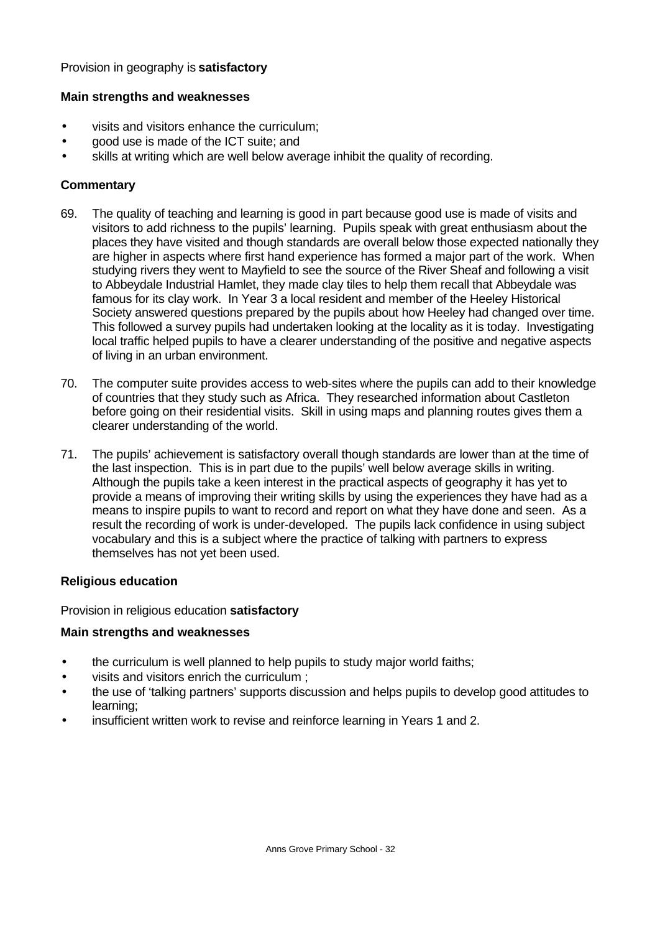#### Provision in geography is **satisfactory**

#### **Main strengths and weaknesses**

- visits and visitors enhance the curriculum;
- good use is made of the ICT suite; and
- skills at writing which are well below average inhibit the quality of recording.

# **Commentary**

- 69. The quality of teaching and learning is good in part because good use is made of visits and visitors to add richness to the pupils' learning. Pupils speak with great enthusiasm about the places they have visited and though standards are overall below those expected nationally they are higher in aspects where first hand experience has formed a major part of the work. When studying rivers they went to Mayfield to see the source of the River Sheaf and following a visit to Abbeydale Industrial Hamlet, they made clay tiles to help them recall that Abbeydale was famous for its clay work. In Year 3 a local resident and member of the Heeley Historical Society answered questions prepared by the pupils about how Heeley had changed over time. This followed a survey pupils had undertaken looking at the locality as it is today. Investigating local traffic helped pupils to have a clearer understanding of the positive and negative aspects of living in an urban environment.
- 70. The computer suite provides access to web-sites where the pupils can add to their knowledge of countries that they study such as Africa. They researched information about Castleton before going on their residential visits. Skill in using maps and planning routes gives them a clearer understanding of the world.
- 71. The pupils' achievement is satisfactory overall though standards are lower than at the time of the last inspection. This is in part due to the pupils' well below average skills in writing. Although the pupils take a keen interest in the practical aspects of geography it has yet to provide a means of improving their writing skills by using the experiences they have had as a means to inspire pupils to want to record and report on what they have done and seen. As a result the recording of work is under-developed. The pupils lack confidence in using subject vocabulary and this is a subject where the practice of talking with partners to express themselves has not yet been used.

#### **Religious education**

Provision in religious education **satisfactory**

#### **Main strengths and weaknesses**

- the curriculum is well planned to help pupils to study major world faiths;
- visits and visitors enrich the curriculum ;
- the use of 'talking partners' supports discussion and helps pupils to develop good attitudes to learning;
- insufficient written work to revise and reinforce learning in Years 1 and 2.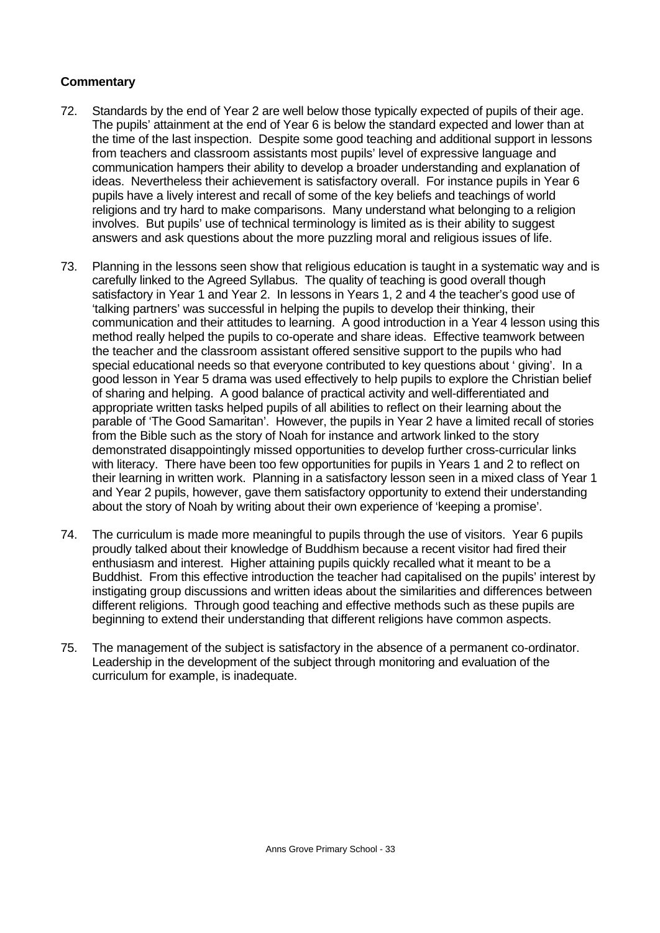- 72. Standards by the end of Year 2 are well below those typically expected of pupils of their age. The pupils' attainment at the end of Year 6 is below the standard expected and lower than at the time of the last inspection. Despite some good teaching and additional support in lessons from teachers and classroom assistants most pupils' level of expressive language and communication hampers their ability to develop a broader understanding and explanation of ideas. Nevertheless their achievement is satisfactory overall. For instance pupils in Year 6 pupils have a lively interest and recall of some of the key beliefs and teachings of world religions and try hard to make comparisons. Many understand what belonging to a religion involves. But pupils' use of technical terminology is limited as is their ability to suggest answers and ask questions about the more puzzling moral and religious issues of life.
- 73. Planning in the lessons seen show that religious education is taught in a systematic way and is carefully linked to the Agreed Syllabus. The quality of teaching is good overall though satisfactory in Year 1 and Year 2. In lessons in Years 1, 2 and 4 the teacher's good use of 'talking partners' was successful in helping the pupils to develop their thinking, their communication and their attitudes to learning. A good introduction in a Year 4 lesson using this method really helped the pupils to co-operate and share ideas. Effective teamwork between the teacher and the classroom assistant offered sensitive support to the pupils who had special educational needs so that everyone contributed to key questions about ' giving'. In a good lesson in Year 5 drama was used effectively to help pupils to explore the Christian belief of sharing and helping. A good balance of practical activity and well-differentiated and appropriate written tasks helped pupils of all abilities to reflect on their learning about the parable of 'The Good Samaritan'. However, the pupils in Year 2 have a limited recall of stories from the Bible such as the story of Noah for instance and artwork linked to the story demonstrated disappointingly missed opportunities to develop further cross-curricular links with literacy. There have been too few opportunities for pupils in Years 1 and 2 to reflect on their learning in written work. Planning in a satisfactory lesson seen in a mixed class of Year 1 and Year 2 pupils, however, gave them satisfactory opportunity to extend their understanding about the story of Noah by writing about their own experience of 'keeping a promise'.
- 74. The curriculum is made more meaningful to pupils through the use of visitors. Year 6 pupils proudly talked about their knowledge of Buddhism because a recent visitor had fired their enthusiasm and interest. Higher attaining pupils quickly recalled what it meant to be a Buddhist. From this effective introduction the teacher had capitalised on the pupils' interest by instigating group discussions and written ideas about the similarities and differences between different religions. Through good teaching and effective methods such as these pupils are beginning to extend their understanding that different religions have common aspects.
- 75. The management of the subject is satisfactory in the absence of a permanent co-ordinator. Leadership in the development of the subject through monitoring and evaluation of the curriculum for example, is inadequate.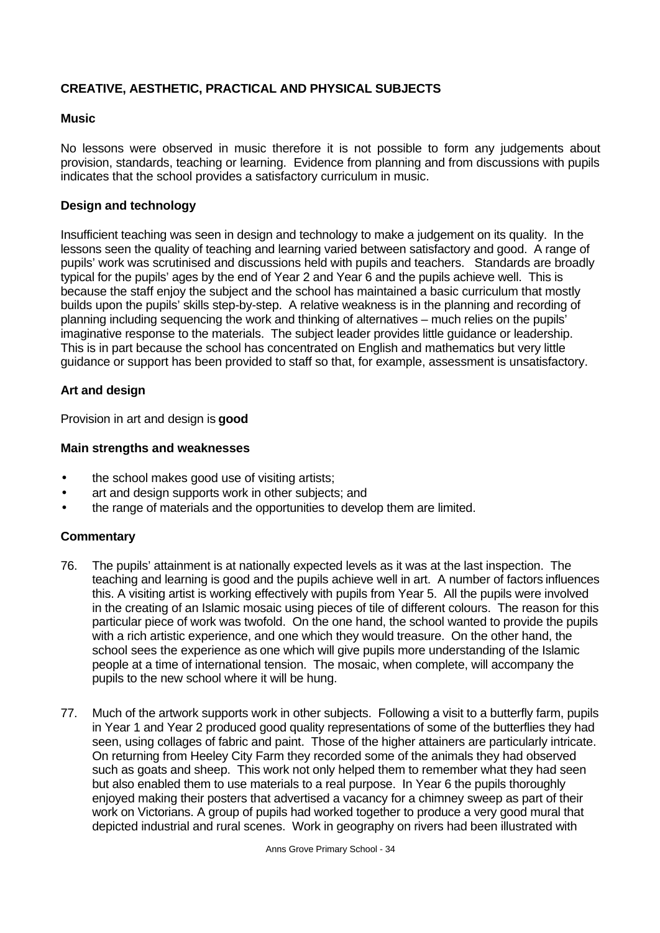# **CREATIVE, AESTHETIC, PRACTICAL AND PHYSICAL SUBJECTS**

#### **Music**

No lessons were observed in music therefore it is not possible to form any judgements about provision, standards, teaching or learning. Evidence from planning and from discussions with pupils indicates that the school provides a satisfactory curriculum in music.

# **Design and technology**

Insufficient teaching was seen in design and technology to make a judgement on its quality. In the lessons seen the quality of teaching and learning varied between satisfactory and good. A range of pupils' work was scrutinised and discussions held with pupils and teachers. Standards are broadly typical for the pupils' ages by the end of Year 2 and Year 6 and the pupils achieve well. This is because the staff enjoy the subject and the school has maintained a basic curriculum that mostly builds upon the pupils' skills step-by-step. A relative weakness is in the planning and recording of planning including sequencing the work and thinking of alternatives – much relies on the pupils' imaginative response to the materials. The subject leader provides little guidance or leadership. This is in part because the school has concentrated on English and mathematics but very little guidance or support has been provided to staff so that, for example, assessment is unsatisfactory.

#### **Art and design**

Provision in art and design is **good**

#### **Main strengths and weaknesses**

- the school makes good use of visiting artists;
- art and design supports work in other subjects; and
- the range of materials and the opportunities to develop them are limited.

- 76. The pupils' attainment is at nationally expected levels as it was at the last inspection. The teaching and learning is good and the pupils achieve well in art. A number of factors influences this. A visiting artist is working effectively with pupils from Year 5. All the pupils were involved in the creating of an Islamic mosaic using pieces of tile of different colours. The reason for this particular piece of work was twofold. On the one hand, the school wanted to provide the pupils with a rich artistic experience, and one which they would treasure. On the other hand, the school sees the experience as one which will give pupils more understanding of the Islamic people at a time of international tension. The mosaic, when complete, will accompany the pupils to the new school where it will be hung.
- 77. Much of the artwork supports work in other subjects. Following a visit to a butterfly farm, pupils in Year 1 and Year 2 produced good quality representations of some of the butterflies they had seen, using collages of fabric and paint. Those of the higher attainers are particularly intricate. On returning from Heeley City Farm they recorded some of the animals they had observed such as goats and sheep. This work not only helped them to remember what they had seen but also enabled them to use materials to a real purpose. In Year 6 the pupils thoroughly enjoyed making their posters that advertised a vacancy for a chimney sweep as part of their work on Victorians. A group of pupils had worked together to produce a very good mural that depicted industrial and rural scenes. Work in geography on rivers had been illustrated with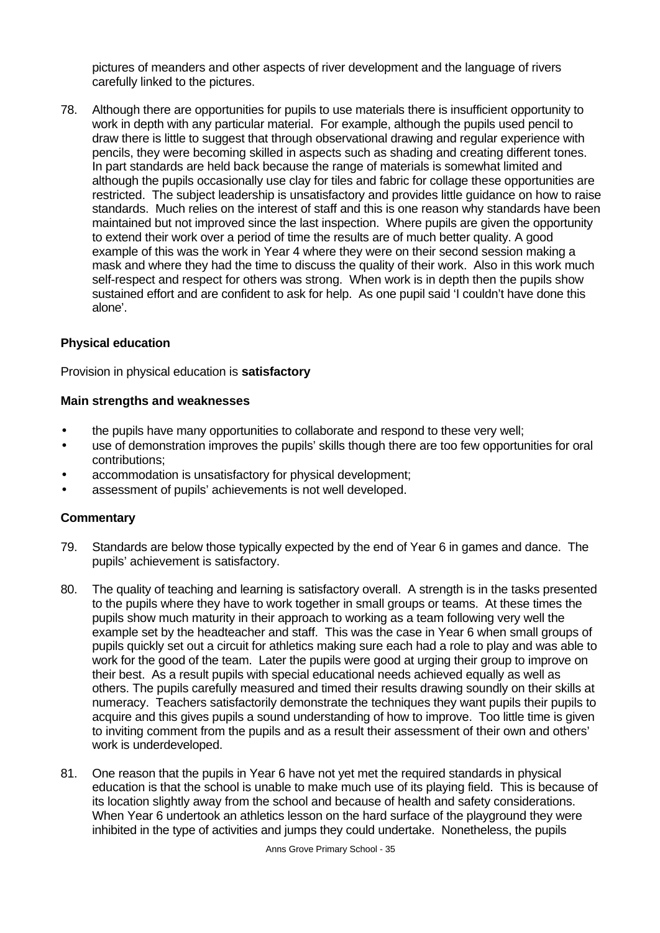pictures of meanders and other aspects of river development and the language of rivers carefully linked to the pictures.

78. Although there are opportunities for pupils to use materials there is insufficient opportunity to work in depth with any particular material. For example, although the pupils used pencil to draw there is little to suggest that through observational drawing and regular experience with pencils, they were becoming skilled in aspects such as shading and creating different tones. In part standards are held back because the range of materials is somewhat limited and although the pupils occasionally use clay for tiles and fabric for collage these opportunities are restricted. The subject leadership is unsatisfactory and provides little guidance on how to raise standards. Much relies on the interest of staff and this is one reason why standards have been maintained but not improved since the last inspection. Where pupils are given the opportunity to extend their work over a period of time the results are of much better quality. A good example of this was the work in Year 4 where they were on their second session making a mask and where they had the time to discuss the quality of their work. Also in this work much self-respect and respect for others was strong. When work is in depth then the pupils show sustained effort and are confident to ask for help. As one pupil said 'I couldn't have done this alone'.

#### **Physical education**

Provision in physical education is **satisfactory**

#### **Main strengths and weaknesses**

- the pupils have many opportunities to collaborate and respond to these very well;
- use of demonstration improves the pupils' skills though there are too few opportunities for oral contributions;
- accommodation is unsatisfactory for physical development;
- assessment of pupils' achievements is not well developed.

- 79. Standards are below those typically expected by the end of Year 6 in games and dance. The pupils' achievement is satisfactory.
- 80. The quality of teaching and learning is satisfactory overall. A strength is in the tasks presented to the pupils where they have to work together in small groups or teams. At these times the pupils show much maturity in their approach to working as a team following very well the example set by the headteacher and staff. This was the case in Year 6 when small groups of pupils quickly set out a circuit for athletics making sure each had a role to play and was able to work for the good of the team. Later the pupils were good at urging their group to improve on their best. As a result pupils with special educational needs achieved equally as well as others. The pupils carefully measured and timed their results drawing soundly on their skills at numeracy. Teachers satisfactorily demonstrate the techniques they want pupils their pupils to acquire and this gives pupils a sound understanding of how to improve. Too little time is given to inviting comment from the pupils and as a result their assessment of their own and others' work is underdeveloped.
- 81. One reason that the pupils in Year 6 have not yet met the required standards in physical education is that the school is unable to make much use of its playing field. This is because of its location slightly away from the school and because of health and safety considerations. When Year 6 undertook an athletics lesson on the hard surface of the playground they were inhibited in the type of activities and jumps they could undertake. Nonetheless, the pupils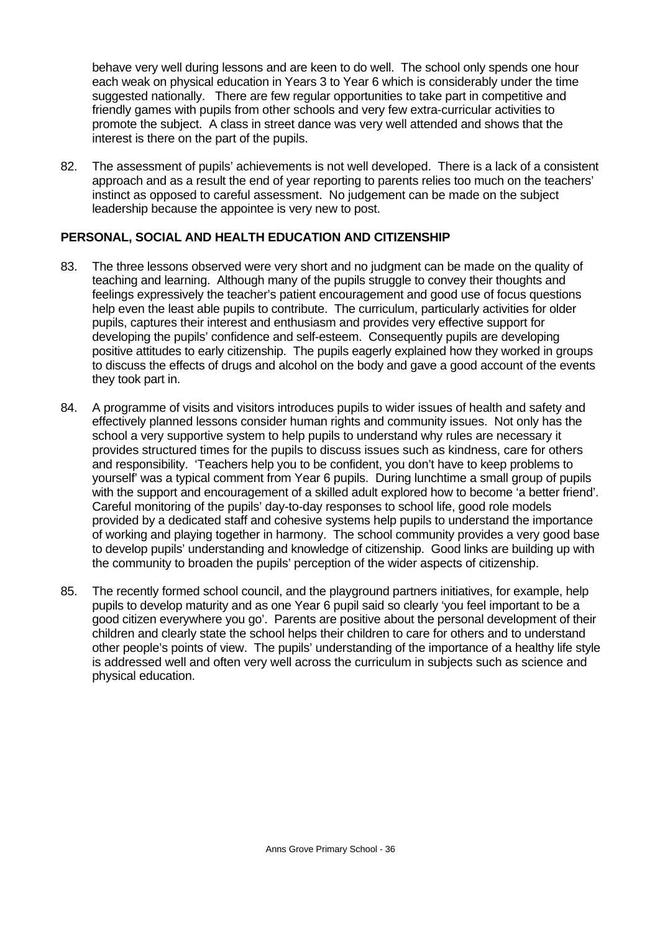behave very well during lessons and are keen to do well. The school only spends one hour each weak on physical education in Years 3 to Year 6 which is considerably under the time suggested nationally. There are few regular opportunities to take part in competitive and friendly games with pupils from other schools and very few extra-curricular activities to promote the subject. A class in street dance was very well attended and shows that the interest is there on the part of the pupils.

82. The assessment of pupils' achievements is not well developed. There is a lack of a consistent approach and as a result the end of year reporting to parents relies too much on the teachers' instinct as opposed to careful assessment. No judgement can be made on the subject leadership because the appointee is very new to post.

# **PERSONAL, SOCIAL AND HEALTH EDUCATION AND CITIZENSHIP**

- 83. The three lessons observed were very short and no judgment can be made on the quality of teaching and learning. Although many of the pupils struggle to convey their thoughts and feelings expressively the teacher's patient encouragement and good use of focus questions help even the least able pupils to contribute. The curriculum, particularly activities for older pupils, captures their interest and enthusiasm and provides very effective support for developing the pupils' confidence and self-esteem. Consequently pupils are developing positive attitudes to early citizenship. The pupils eagerly explained how they worked in groups to discuss the effects of drugs and alcohol on the body and gave a good account of the events they took part in.
- 84. A programme of visits and visitors introduces pupils to wider issues of health and safety and effectively planned lessons consider human rights and community issues. Not only has the school a very supportive system to help pupils to understand why rules are necessary it provides structured times for the pupils to discuss issues such as kindness, care for others and responsibility. 'Teachers help you to be confident, you don't have to keep problems to yourself' was a typical comment from Year 6 pupils. During lunchtime a small group of pupils with the support and encouragement of a skilled adult explored how to become 'a better friend'. Careful monitoring of the pupils' day-to-day responses to school life, good role models provided by a dedicated staff and cohesive systems help pupils to understand the importance of working and playing together in harmony. The school community provides a very good base to develop pupils' understanding and knowledge of citizenship. Good links are building up with the community to broaden the pupils' perception of the wider aspects of citizenship.
- 85. The recently formed school council, and the playground partners initiatives, for example, help pupils to develop maturity and as one Year 6 pupil said so clearly 'you feel important to be a good citizen everywhere you go'. Parents are positive about the personal development of their children and clearly state the school helps their children to care for others and to understand other people's points of view. The pupils' understanding of the importance of a healthy life style is addressed well and often very well across the curriculum in subjects such as science and physical education.